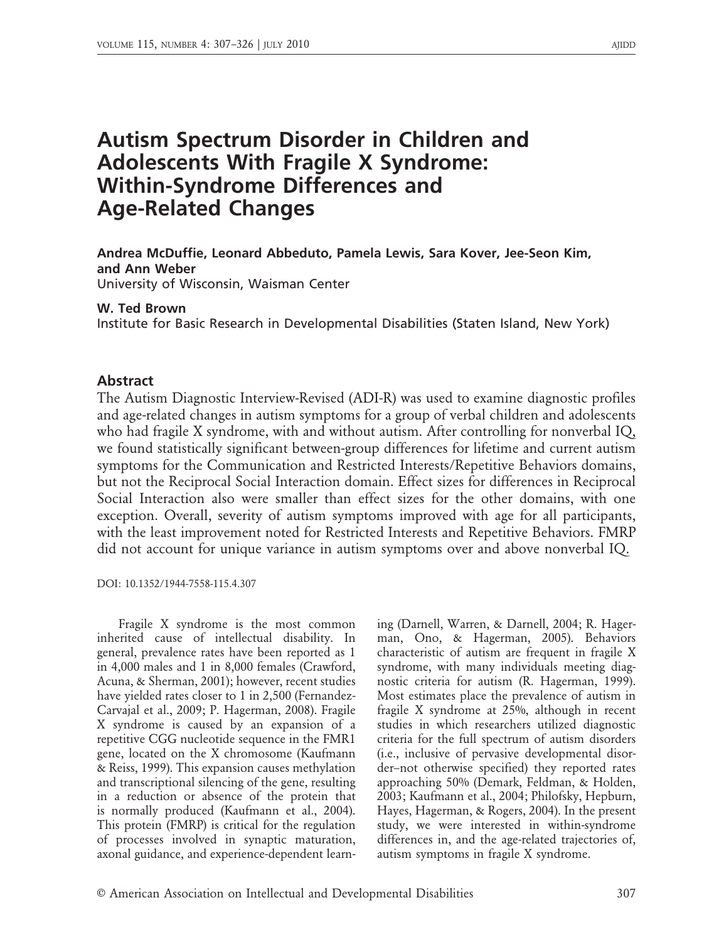# Autism Spectrum Disorder in Children and Adolescents With Fragile X Syndrome: Within-Syndrome Differences and Age-Related Changes

# Andrea McDuffie, Leonard Abbeduto, Pamela Lewis, Sara Kover, Jee-Seon Kim, and Ann Weber

University of Wisconsin, Waisman Center

#### W. Ted Brown

Institute for Basic Research in Developmental Disabilities (Staten Island, New York)

### Abstract

The Autism Diagnostic Interview-Revised (ADI-R) was used to examine diagnostic profiles and age-related changes in autism symptoms for a group of verbal children and adolescents who had fragile X syndrome, with and without autism. After controlling for nonverbal IQ, we found statistically significant between-group differences for lifetime and current autism symptoms for the Communication and Restricted Interests/Repetitive Behaviors domains, but not the Reciprocal Social Interaction domain. Effect sizes for differences in Reciprocal Social Interaction also were smaller than effect sizes for the other domains, with one exception. Overall, severity of autism symptoms improved with age for all participants, with the least improvement noted for Restricted Interests and Repetitive Behaviors. FMRP did not account for unique variance in autism symptoms over and above nonverbal IQ.

#### DOI: 10.1352/1944-7558-115.4.307

Fragile X syndrome is the most common inherited cause of intellectual disability. In general, prevalence rates have been reported as 1 in 4,000 males and 1 in 8,000 females (Crawford, Acuna, & Sherman, 2001); however, recent studies have yielded rates closer to 1 in 2,500 (Fernandez-Carvajal et al., 2009; P. Hagerman, 2008). Fragile X syndrome is caused by an expansion of a repetitive CGG nucleotide sequence in the FMR1 gene, located on the X chromosome (Kaufmann & Reiss, 1999). This expansion causes methylation and transcriptional silencing of the gene, resulting in a reduction or absence of the protein that is normally produced (Kaufmann et al., 2004). This protein (FMRP) is critical for the regulation of processes involved in synaptic maturation, axonal guidance, and experience-dependent learn-

ing (Darnell, Warren, & Darnell, 2004; R. Hagerman, Ono, & Hagerman, 2005). Behaviors characteristic of autism are frequent in fragile X syndrome, with many individuals meeting diagnostic criteria for autism (R. Hagerman, 1999). Most estimates place the prevalence of autism in fragile X syndrome at 25%, although in recent studies in which researchers utilized diagnostic criteria for the full spectrum of autism disorders (i.e., inclusive of pervasive developmental disorder–not otherwise specified) they reported rates approaching 50% (Demark, Feldman, & Holden, 2003; Kaufmann et al., 2004; Philofsky, Hepburn, Hayes, Hagerman, & Rogers, 2004). In the present study, we were interested in within-syndrome differences in, and the age-related trajectories of, autism symptoms in fragile X syndrome.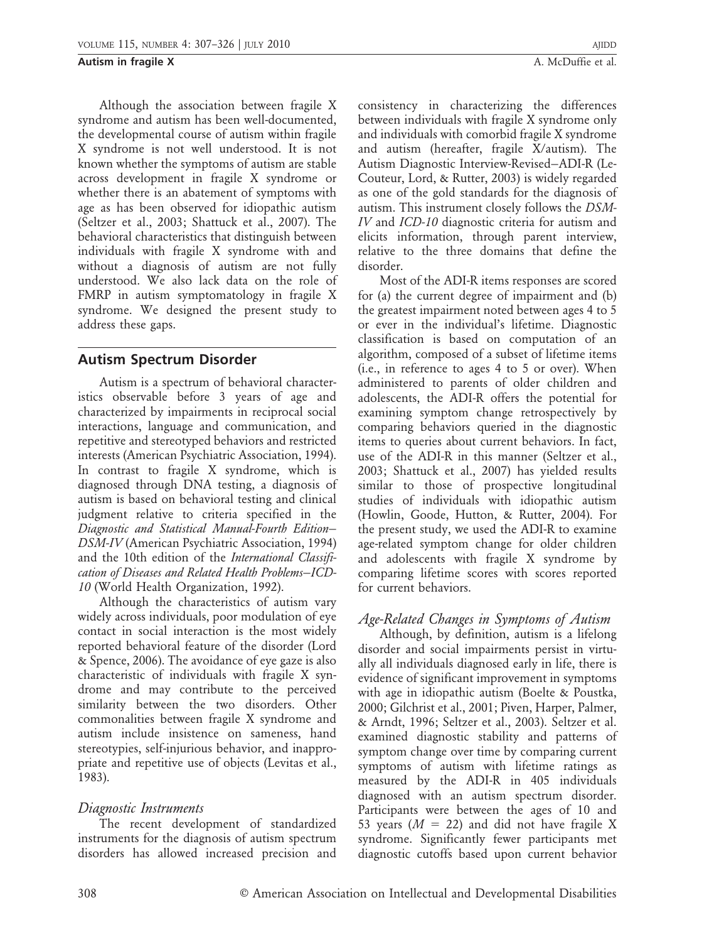Although the association between fragile X syndrome and autism has been well-documented, the developmental course of autism within fragile X syndrome is not well understood. It is not known whether the symptoms of autism are stable across development in fragile X syndrome or whether there is an abatement of symptoms with age as has been observed for idiopathic autism (Seltzer et al., 2003; Shattuck et al., 2007). The behavioral characteristics that distinguish between individuals with fragile X syndrome with and without a diagnosis of autism are not fully understood. We also lack data on the role of FMRP in autism symptomatology in fragile X syndrome. We designed the present study to address these gaps.

### Autism Spectrum Disorder

Autism is a spectrum of behavioral characteristics observable before 3 years of age and characterized by impairments in reciprocal social interactions, language and communication, and repetitive and stereotyped behaviors and restricted interests (American Psychiatric Association, 1994). In contrast to fragile X syndrome, which is diagnosed through DNA testing, a diagnosis of autism is based on behavioral testing and clinical judgment relative to criteria specified in the Diagnostic and Statistical Manual-Fourth Edition— DSM-IV (American Psychiatric Association, 1994) and the 10th edition of the International Classification of Diseases and Related Health Problems—ICD-10 (World Health Organization, 1992).

Although the characteristics of autism vary widely across individuals, poor modulation of eye contact in social interaction is the most widely reported behavioral feature of the disorder (Lord & Spence, 2006). The avoidance of eye gaze is also characteristic of individuals with fragile X syndrome and may contribute to the perceived similarity between the two disorders. Other commonalities between fragile X syndrome and autism include insistence on sameness, hand stereotypies, self-injurious behavior, and inappropriate and repetitive use of objects (Levitas et al., 1983).

### Diagnostic Instruments

The recent development of standardized instruments for the diagnosis of autism spectrum disorders has allowed increased precision and

consistency in characterizing the differences between individuals with fragile X syndrome only and individuals with comorbid fragile X syndrome and autism (hereafter, fragile X/autism). The Autism Diagnostic Interview-Revised—ADI-R (Le-Couteur, Lord, & Rutter, 2003) is widely regarded as one of the gold standards for the diagnosis of autism. This instrument closely follows the DSM-IV and ICD-10 diagnostic criteria for autism and elicits information, through parent interview, relative to the three domains that define the disorder.

Most of the ADI-R items responses are scored for (a) the current degree of impairment and (b) the greatest impairment noted between ages 4 to 5 or ever in the individual's lifetime. Diagnostic classification is based on computation of an algorithm, composed of a subset of lifetime items (i.e., in reference to ages 4 to 5 or over). When administered to parents of older children and adolescents, the ADI-R offers the potential for examining symptom change retrospectively by comparing behaviors queried in the diagnostic items to queries about current behaviors. In fact, use of the ADI-R in this manner (Seltzer et al., 2003; Shattuck et al., 2007) has yielded results similar to those of prospective longitudinal studies of individuals with idiopathic autism (Howlin, Goode, Hutton, & Rutter, 2004). For the present study, we used the ADI-R to examine age-related symptom change for older children and adolescents with fragile X syndrome by comparing lifetime scores with scores reported for current behaviors.

# Age-Related Changes in Symptoms of Autism

Although, by definition, autism is a lifelong disorder and social impairments persist in virtually all individuals diagnosed early in life, there is evidence of significant improvement in symptoms with age in idiopathic autism (Boelte & Poustka, 2000; Gilchrist et al., 2001; Piven, Harper, Palmer, & Arndt, 1996; Seltzer et al., 2003). Seltzer et al. examined diagnostic stability and patterns of symptom change over time by comparing current symptoms of autism with lifetime ratings as measured by the ADI-R in 405 individuals diagnosed with an autism spectrum disorder. Participants were between the ages of 10 and 53 years ( $M = 22$ ) and did not have fragile X syndrome. Significantly fewer participants met diagnostic cutoffs based upon current behavior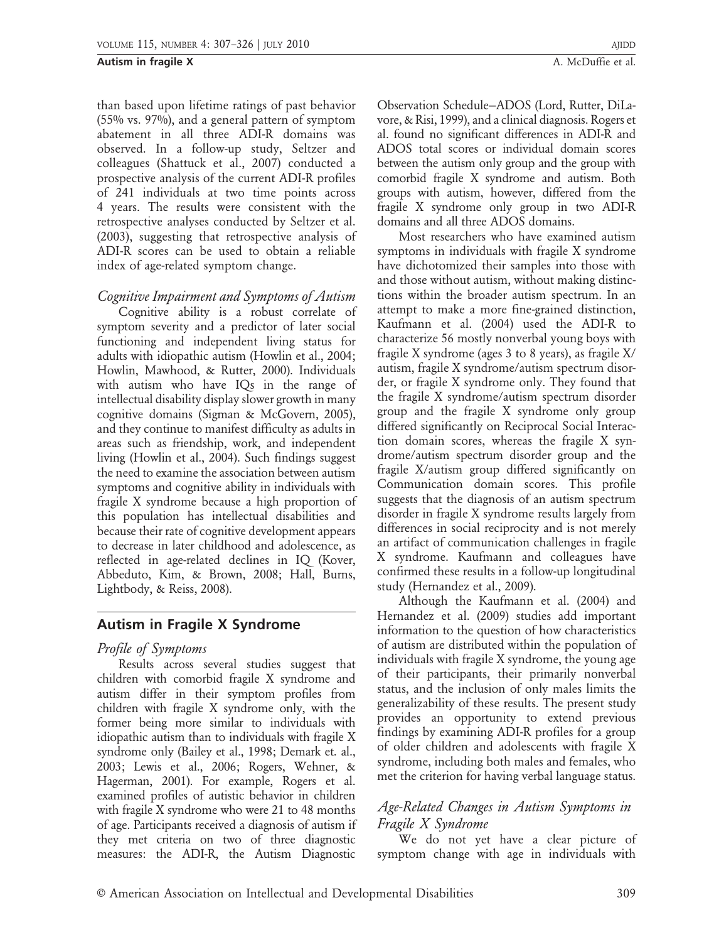than based upon lifetime ratings of past behavior (55% vs. 97%), and a general pattern of symptom abatement in all three ADI-R domains was observed. In a follow-up study, Seltzer and colleagues (Shattuck et al., 2007) conducted a prospective analysis of the current ADI-R profiles of 241 individuals at two time points across 4 years. The results were consistent with the retrospective analyses conducted by Seltzer et al. (2003), suggesting that retrospective analysis of ADI-R scores can be used to obtain a reliable index of age-related symptom change.

# Cognitive Impairment and Symptoms of Autism

Cognitive ability is a robust correlate of symptom severity and a predictor of later social functioning and independent living status for adults with idiopathic autism (Howlin et al., 2004; Howlin, Mawhood, & Rutter, 2000). Individuals with autism who have IQs in the range of intellectual disability display slower growth in many cognitive domains (Sigman & McGovern, 2005), and they continue to manifest difficulty as adults in areas such as friendship, work, and independent living (Howlin et al., 2004). Such findings suggest the need to examine the association between autism symptoms and cognitive ability in individuals with fragile X syndrome because a high proportion of this population has intellectual disabilities and because their rate of cognitive development appears to decrease in later childhood and adolescence, as reflected in age-related declines in IQ (Kover, Abbeduto, Kim, & Brown, 2008; Hall, Burns, Lightbody, & Reiss, 2008).

# Autism in Fragile X Syndrome

# Profile of Symptoms

Results across several studies suggest that children with comorbid fragile X syndrome and autism differ in their symptom profiles from children with fragile X syndrome only, with the former being more similar to individuals with idiopathic autism than to individuals with fragile X syndrome only (Bailey et al., 1998; Demark et. al., 2003; Lewis et al., 2006; Rogers, Wehner, & Hagerman, 2001). For example, Rogers et al. examined profiles of autistic behavior in children with fragile X syndrome who were 21 to 48 months of age. Participants received a diagnosis of autism if they met criteria on two of three diagnostic measures: the ADI-R, the Autism Diagnostic Observation Schedule—ADOS (Lord, Rutter, DiLavore, & Risi, 1999), and a clinical diagnosis. Rogers et al. found no significant differences in ADI-R and ADOS total scores or individual domain scores between the autism only group and the group with comorbid fragile X syndrome and autism. Both groups with autism, however, differed from the fragile X syndrome only group in two ADI-R domains and all three ADOS domains.

Most researchers who have examined autism symptoms in individuals with fragile X syndrome have dichotomized their samples into those with and those without autism, without making distinctions within the broader autism spectrum. In an attempt to make a more fine-grained distinction, Kaufmann et al. (2004) used the ADI-R to characterize 56 mostly nonverbal young boys with fragile X syndrome (ages 3 to 8 years), as fragile X/ autism, fragile X syndrome/autism spectrum disorder, or fragile X syndrome only. They found that the fragile X syndrome/autism spectrum disorder group and the fragile X syndrome only group differed significantly on Reciprocal Social Interaction domain scores, whereas the fragile X syndrome/autism spectrum disorder group and the fragile X/autism group differed significantly on Communication domain scores. This profile suggests that the diagnosis of an autism spectrum disorder in fragile X syndrome results largely from differences in social reciprocity and is not merely an artifact of communication challenges in fragile X syndrome. Kaufmann and colleagues have confirmed these results in a follow-up longitudinal study (Hernandez et al., 2009).

Although the Kaufmann et al. (2004) and Hernandez et al. (2009) studies add important information to the question of how characteristics of autism are distributed within the population of individuals with fragile X syndrome, the young age of their participants, their primarily nonverbal status, and the inclusion of only males limits the generalizability of these results. The present study provides an opportunity to extend previous findings by examining ADI-R profiles for a group of older children and adolescents with fragile X syndrome, including both males and females, who met the criterion for having verbal language status.

# Age-Related Changes in Autism Symptoms in Fragile X Syndrome

We do not yet have a clear picture of symptom change with age in individuals with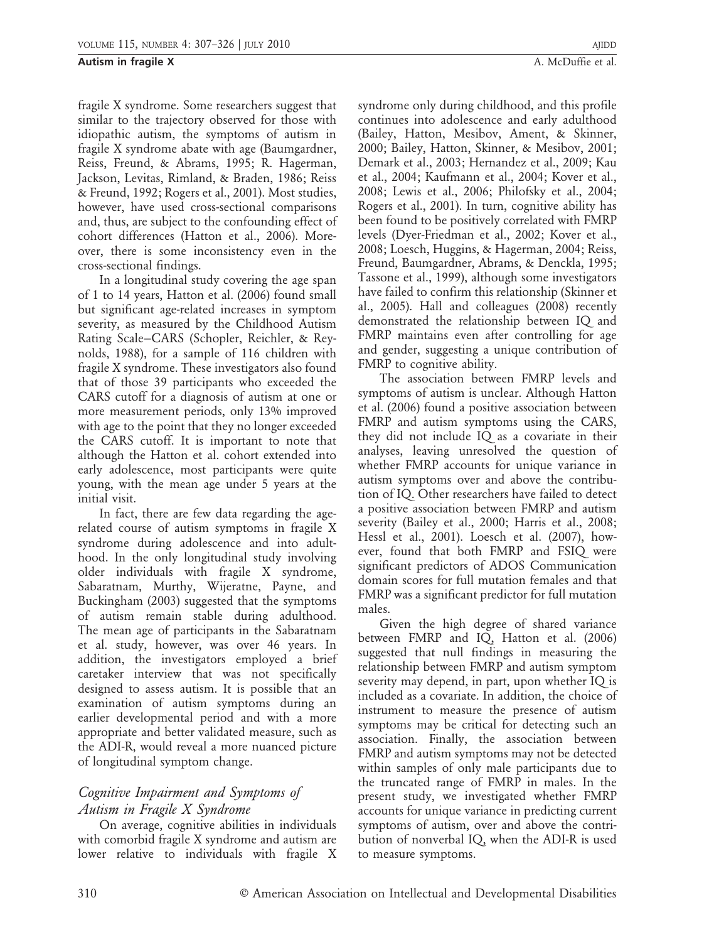fragile X syndrome. Some researchers suggest that similar to the trajectory observed for those with idiopathic autism, the symptoms of autism in fragile X syndrome abate with age (Baumgardner, Reiss, Freund, & Abrams, 1995; R. Hagerman, Jackson, Levitas, Rimland, & Braden, 1986; Reiss & Freund, 1992; Rogers et al., 2001). Most studies, however, have used cross-sectional comparisons and, thus, are subject to the confounding effect of cohort differences (Hatton et al., 2006). Moreover, there is some inconsistency even in the cross-sectional findings.

In a longitudinal study covering the age span of 1 to 14 years, Hatton et al. (2006) found small but significant age-related increases in symptom severity, as measured by the Childhood Autism Rating Scale—CARS (Schopler, Reichler, & Reynolds, 1988), for a sample of 116 children with fragile X syndrome. These investigators also found that of those 39 participants who exceeded the CARS cutoff for a diagnosis of autism at one or more measurement periods, only 13% improved with age to the point that they no longer exceeded the CARS cutoff. It is important to note that although the Hatton et al. cohort extended into early adolescence, most participants were quite young, with the mean age under 5 years at the initial visit.

In fact, there are few data regarding the agerelated course of autism symptoms in fragile X syndrome during adolescence and into adulthood. In the only longitudinal study involving older individuals with fragile X syndrome, Sabaratnam, Murthy, Wijeratne, Payne, and Buckingham (2003) suggested that the symptoms of autism remain stable during adulthood. The mean age of participants in the Sabaratnam et al. study, however, was over 46 years. In addition, the investigators employed a brief caretaker interview that was not specifically designed to assess autism. It is possible that an examination of autism symptoms during an earlier developmental period and with a more appropriate and better validated measure, such as the ADI-R, would reveal a more nuanced picture of longitudinal symptom change.

# Cognitive Impairment and Symptoms of Autism in Fragile X Syndrome

On average, cognitive abilities in individuals with comorbid fragile X syndrome and autism are lower relative to individuals with fragile X syndrome only during childhood, and this profile continues into adolescence and early adulthood (Bailey, Hatton, Mesibov, Ament, & Skinner, 2000; Bailey, Hatton, Skinner, & Mesibov, 2001; Demark et al., 2003; Hernandez et al., 2009; Kau et al., 2004; Kaufmann et al., 2004; Kover et al., 2008; Lewis et al., 2006; Philofsky et al., 2004; Rogers et al., 2001). In turn, cognitive ability has been found to be positively correlated with FMRP levels (Dyer-Friedman et al., 2002; Kover et al., 2008; Loesch, Huggins, & Hagerman, 2004; Reiss, Freund, Baumgardner, Abrams, & Denckla, 1995; Tassone et al., 1999), although some investigators have failed to confirm this relationship (Skinner et al., 2005). Hall and colleagues (2008) recently demonstrated the relationship between IQ and FMRP maintains even after controlling for age and gender, suggesting a unique contribution of FMRP to cognitive ability.

The association between FMRP levels and symptoms of autism is unclear. Although Hatton et al. (2006) found a positive association between FMRP and autism symptoms using the CARS, they did not include IQ as a covariate in their analyses, leaving unresolved the question of whether FMRP accounts for unique variance in autism symptoms over and above the contribution of IQ. Other researchers have failed to detect a positive association between FMRP and autism severity (Bailey et al., 2000; Harris et al., 2008; Hessl et al., 2001). Loesch et al. (2007), however, found that both FMRP and FSIQ were significant predictors of ADOS Communication domain scores for full mutation females and that FMRP was a significant predictor for full mutation males.

Given the high degree of shared variance between FMRP and IQ, Hatton et al. (2006) suggested that null findings in measuring the relationship between FMRP and autism symptom severity may depend, in part, upon whether IQ is included as a covariate. In addition, the choice of instrument to measure the presence of autism symptoms may be critical for detecting such an association. Finally, the association between FMRP and autism symptoms may not be detected within samples of only male participants due to the truncated range of FMRP in males. In the present study, we investigated whether FMRP accounts for unique variance in predicting current symptoms of autism, over and above the contribution of nonverbal IQ, when the ADI-R is used to measure symptoms.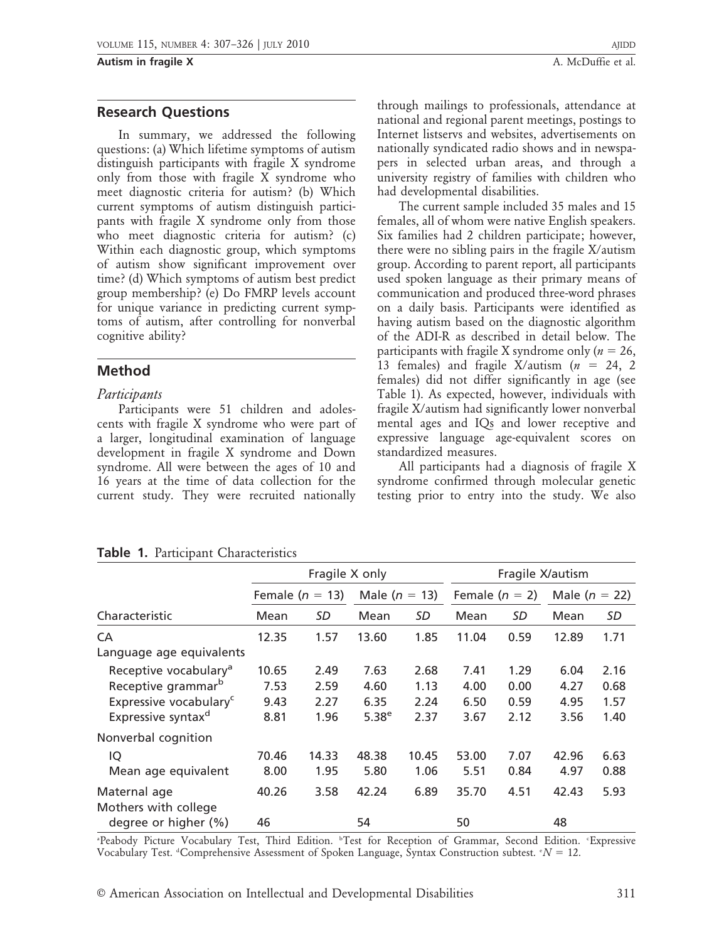#### Autism in fragile X and the Second Second Second A. McDuffie et al.

#### Research Questions

In summary, we addressed the following questions: (a) Which lifetime symptoms of autism distinguish participants with fragile X syndrome only from those with fragile X syndrome who meet diagnostic criteria for autism? (b) Which current symptoms of autism distinguish participants with fragile X syndrome only from those who meet diagnostic criteria for autism? (c) Within each diagnostic group, which symptoms of autism show significant improvement over time? (d) Which symptoms of autism best predict group membership? (e) Do FMRP levels account for unique variance in predicting current symptoms of autism, after controlling for nonverbal cognitive ability?

### Method

#### Participants

Participants were 51 children and adolescents with fragile X syndrome who were part of a larger, longitudinal examination of language development in fragile X syndrome and Down syndrome. All were between the ages of 10 and 16 years at the time of data collection for the current study. They were recruited nationally through mailings to professionals, attendance at national and regional parent meetings, postings to Internet listservs and websites, advertisements on nationally syndicated radio shows and in newspapers in selected urban areas, and through a university registry of families with children who had developmental disabilities.

The current sample included 35 males and 15 females, all of whom were native English speakers. Six families had 2 children participate; however, there were no sibling pairs in the fragile X/autism group. According to parent report, all participants used spoken language as their primary means of communication and produced three-word phrases on a daily basis. Participants were identified as having autism based on the diagnostic algorithm of the ADI-R as described in detail below. The participants with fragile X syndrome only ( $n = 26$ , 13 females) and fragile X/autism ( $n = 24, 2$ females) did not differ significantly in age (see Table 1). As expected, however, individuals with fragile X/autism had significantly lower nonverbal mental ages and IQs and lower receptive and expressive language age-equivalent scores on standardized measures.

All participants had a diagnosis of fragile X syndrome confirmed through molecular genetic testing prior to entry into the study. We also

#### Table 1. Participant Characteristics

|                                    |       | Fragile X only    |                   | Fragile X/autism |                  |      |                 |      |  |
|------------------------------------|-------|-------------------|-------------------|------------------|------------------|------|-----------------|------|--|
|                                    |       | Female $(n = 13)$ | Male $(n =$       | 13)              | Female $(n = 2)$ |      | Male $(n = 22)$ |      |  |
| Characteristic                     | Mean  | SD                | Mean              | SD               | Mean             | SD   | Mean            | SD   |  |
| CA                                 | 12.35 | 1.57              | 13.60             | 1.85             | 11.04            | 0.59 | 12.89           | 1.71 |  |
| Language age equivalents           |       |                   |                   |                  |                  |      |                 |      |  |
| Receptive vocabulary <sup>a</sup>  | 10.65 | 2.49              | 7.63              | 2.68             | 7.41             | 1.29 | 6.04            | 2.16 |  |
| Receptive grammar <sup>b</sup>     | 7.53  | 2.59              | 4.60              | 1.13             | 4.00             | 0.00 | 4.27            | 0.68 |  |
| Expressive vocabulary <sup>c</sup> | 9.43  | 2.27              | 6.35              | 2.24             | 6.50             | 0.59 | 4.95            | 1.57 |  |
| Expressive syntax <sup>d</sup>     | 8.81  | 1.96              | 5.38 <sup>e</sup> | 2.37             | 3.67             | 2.12 | 3.56            | 1.40 |  |
| Nonverbal cognition                |       |                   |                   |                  |                  |      |                 |      |  |
| IQ                                 | 70.46 | 14.33             | 48.38             | 10.45            | 53.00            | 7.07 | 42.96           | 6.63 |  |
| Mean age equivalent                | 8.00  | 1.95              | 5.80              | 1.06             | 5.51             | 0.84 | 4.97            | 0.88 |  |
| Maternal age                       | 40.26 | 3.58              | 42.24             | 6.89             | 35.70            | 4.51 | 42.43           | 5.93 |  |
| Mothers with college               |       |                   |                   |                  |                  |      |                 |      |  |
| degree or higher (%)               | 46    |                   | 54                |                  | 50               |      | 48              |      |  |

"Peabody Picture Vocabulary Test, Third Edition. "Test for Reception of Grammar, Second Edition. "Expressive Vocabulary Test. dComprehensive Assessment of Spoken Language, Syntax Construction subtest.  $^{\circ}N=12.$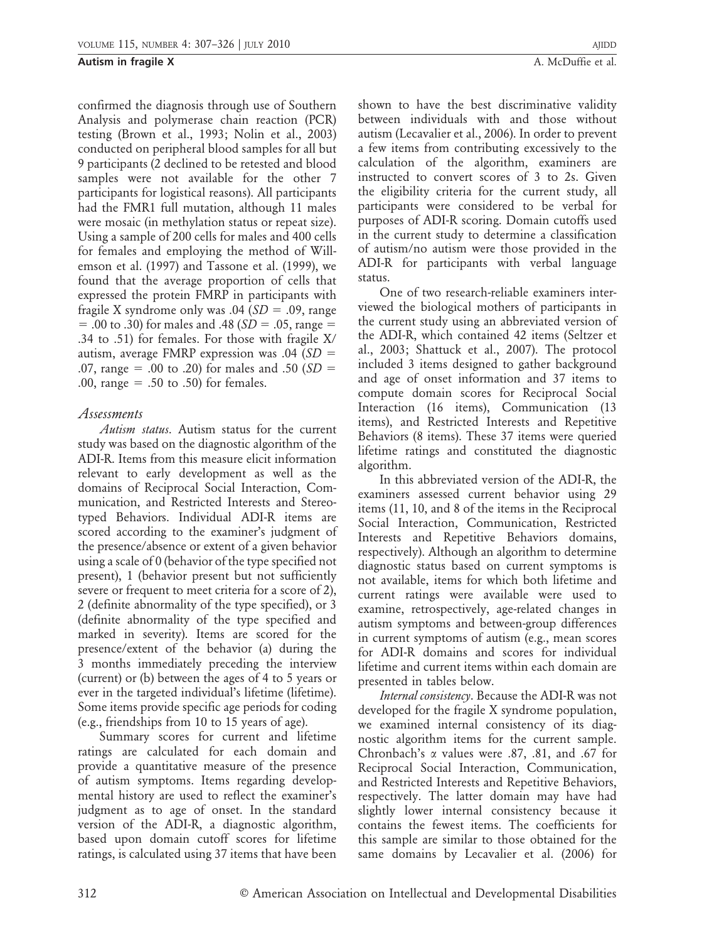confirmed the diagnosis through use of Southern Analysis and polymerase chain reaction (PCR) testing (Brown et al., 1993; Nolin et al., 2003) conducted on peripheral blood samples for all but 9 participants (2 declined to be retested and blood samples were not available for the other 7 participants for logistical reasons). All participants had the FMR1 full mutation, although 11 males were mosaic (in methylation status or repeat size). Using a sample of 200 cells for males and 400 cells for females and employing the method of Willemson et al. (1997) and Tassone et al. (1999), we found that the average proportion of cells that expressed the protein FMRP in participants with fragile X syndrome only was .04 ( $SD = .09$ , range  $= .00$  to .30) for males and .48 (*SD* = .05, range = .34 to .51) for females. For those with fragile X/ autism, average FMRP expression was .04  $(SD =$ .07, range = .00 to .20) for males and .50 ( $SD =$ .00, range  $=$  .50 to .50) for females.

### Assessments

Autism status. Autism status for the current study was based on the diagnostic algorithm of the ADI-R. Items from this measure elicit information relevant to early development as well as the domains of Reciprocal Social Interaction, Communication, and Restricted Interests and Stereotyped Behaviors. Individual ADI-R items are scored according to the examiner's judgment of the presence/absence or extent of a given behavior using a scale of 0 (behavior of the type specified not present), 1 (behavior present but not sufficiently severe or frequent to meet criteria for a score of 2), 2 (definite abnormality of the type specified), or 3 (definite abnormality of the type specified and marked in severity). Items are scored for the presence/extent of the behavior (a) during the 3 months immediately preceding the interview (current) or (b) between the ages of 4 to 5 years or ever in the targeted individual's lifetime (lifetime). Some items provide specific age periods for coding (e.g., friendships from 10 to 15 years of age).

Summary scores for current and lifetime ratings are calculated for each domain and provide a quantitative measure of the presence of autism symptoms. Items regarding developmental history are used to reflect the examiner's judgment as to age of onset. In the standard version of the ADI-R, a diagnostic algorithm, based upon domain cutoff scores for lifetime ratings, is calculated using 37 items that have been

shown to have the best discriminative validity between individuals with and those without autism (Lecavalier et al., 2006). In order to prevent a few items from contributing excessively to the calculation of the algorithm, examiners are instructed to convert scores of 3 to 2s. Given the eligibility criteria for the current study, all participants were considered to be verbal for purposes of ADI-R scoring. Domain cutoffs used in the current study to determine a classification of autism/no autism were those provided in the ADI-R for participants with verbal language status.

One of two research-reliable examiners interviewed the biological mothers of participants in the current study using an abbreviated version of the ADI-R, which contained 42 items (Seltzer et al., 2003; Shattuck et al., 2007). The protocol included 3 items designed to gather background and age of onset information and 37 items to compute domain scores for Reciprocal Social Interaction (16 items), Communication (13 items), and Restricted Interests and Repetitive Behaviors (8 items). These 37 items were queried lifetime ratings and constituted the diagnostic algorithm.

In this abbreviated version of the ADI-R, the examiners assessed current behavior using 29 items (11, 10, and 8 of the items in the Reciprocal Social Interaction, Communication, Restricted Interests and Repetitive Behaviors domains, respectively). Although an algorithm to determine diagnostic status based on current symptoms is not available, items for which both lifetime and current ratings were available were used to examine, retrospectively, age-related changes in autism symptoms and between-group differences in current symptoms of autism (e.g., mean scores for ADI-R domains and scores for individual lifetime and current items within each domain are presented in tables below.

Internal consistency. Because the ADI-R was not developed for the fragile X syndrome population, we examined internal consistency of its diagnostic algorithm items for the current sample. Chronbach's  $\alpha$  values were .87, .81, and .67 for Reciprocal Social Interaction, Communication, and Restricted Interests and Repetitive Behaviors, respectively. The latter domain may have had slightly lower internal consistency because it contains the fewest items. The coefficients for this sample are similar to those obtained for the same domains by Lecavalier et al. (2006) for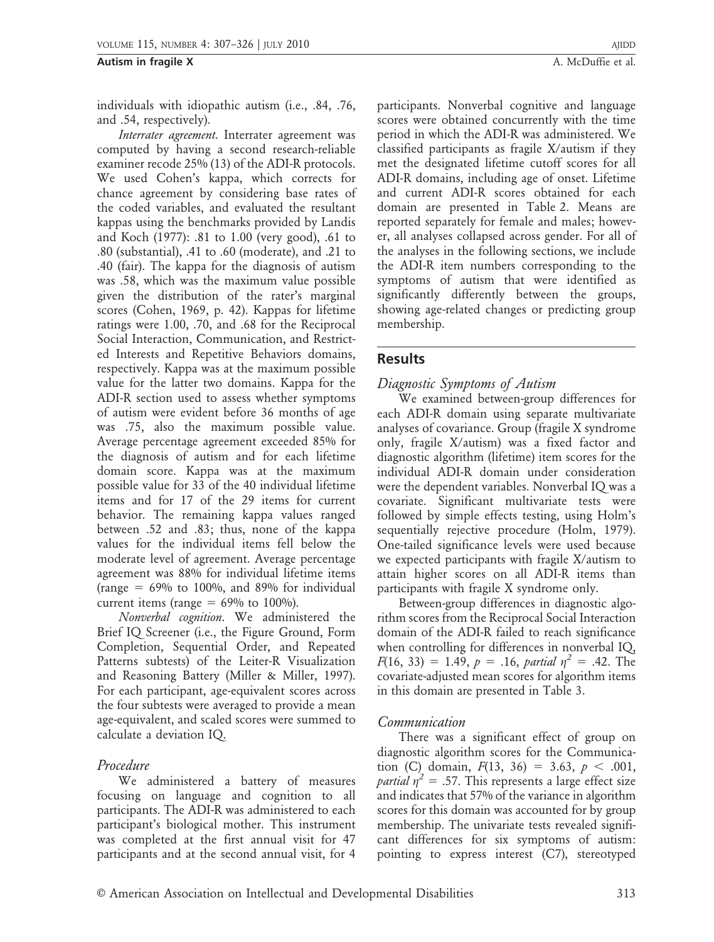#### Autism in fragile X and the Second Second Second A. McDuffie et al.

individuals with idiopathic autism (i.e., .84, .76, and .54, respectively).

Interrater agreement. Interrater agreement was computed by having a second research-reliable examiner recode 25% (13) of the ADI-R protocols. We used Cohen's kappa, which corrects for chance agreement by considering base rates of the coded variables, and evaluated the resultant kappas using the benchmarks provided by Landis and Koch (1977): .81 to 1.00 (very good), .61 to .80 (substantial), .41 to .60 (moderate), and .21 to .40 (fair). The kappa for the diagnosis of autism was .58, which was the maximum value possible given the distribution of the rater's marginal scores (Cohen, 1969, p. 42). Kappas for lifetime ratings were 1.00, .70, and .68 for the Reciprocal Social Interaction, Communication, and Restricted Interests and Repetitive Behaviors domains, respectively. Kappa was at the maximum possible value for the latter two domains. Kappa for the ADI-R section used to assess whether symptoms of autism were evident before 36 months of age was .75, also the maximum possible value. Average percentage agreement exceeded 85% for the diagnosis of autism and for each lifetime domain score. Kappa was at the maximum possible value for 33 of the 40 individual lifetime items and for 17 of the 29 items for current behavior. The remaining kappa values ranged between .52 and .83; thus, none of the kappa values for the individual items fell below the moderate level of agreement. Average percentage agreement was 88% for individual lifetime items (range  $= 69\%$  to 100%, and 89% for individual current items (range  $= 69\%$  to 100%).

Nonverbal cognition. We administered the Brief IQ Screener (i.e., the Figure Ground, Form Completion, Sequential Order, and Repeated Patterns subtests) of the Leiter-R Visualization and Reasoning Battery (Miller & Miller, 1997). For each participant, age-equivalent scores across the four subtests were averaged to provide a mean age-equivalent, and scaled scores were summed to calculate a deviation IQ.

# Procedure

We administered a battery of measures focusing on language and cognition to all participants. The ADI-R was administered to each participant's biological mother. This instrument was completed at the first annual visit for 47 participants and at the second annual visit, for 4 participants. Nonverbal cognitive and language scores were obtained concurrently with the time period in which the ADI-R was administered. We classified participants as fragile X/autism if they met the designated lifetime cutoff scores for all ADI-R domains, including age of onset. Lifetime and current ADI-R scores obtained for each domain are presented in Table 2. Means are reported separately for female and males; however, all analyses collapsed across gender. For all of the analyses in the following sections, we include the ADI-R item numbers corresponding to the symptoms of autism that were identified as significantly differently between the groups, showing age-related changes or predicting group membership.

# Results

# Diagnostic Symptoms of Autism

We examined between-group differences for each ADI-R domain using separate multivariate analyses of covariance. Group (fragile X syndrome only, fragile X/autism) was a fixed factor and diagnostic algorithm (lifetime) item scores for the individual ADI-R domain under consideration were the dependent variables. Nonverbal IQ was a covariate. Significant multivariate tests were followed by simple effects testing, using Holm's sequentially rejective procedure (Holm, 1979). One-tailed significance levels were used because we expected participants with fragile X/autism to attain higher scores on all ADI-R items than participants with fragile X syndrome only.

Between-group differences in diagnostic algorithm scores from the Reciprocal Social Interaction domain of the ADI-R failed to reach significance when controlling for differences in nonverbal IQ,  $F(16, 33) = 1.49, p = .16,$  partial  $\eta^2 = .42$ . The covariate-adjusted mean scores for algorithm items in this domain are presented in Table 3.

# Communication

There was a significant effect of group on diagnostic algorithm scores for the Communication (C) domain,  $F(13, 36) = 3.63, p < .001$ , *partial*  $\eta^2 = .57$ . This represents a large effect size and indicates that 57% of the variance in algorithm scores for this domain was accounted for by group membership. The univariate tests revealed significant differences for six symptoms of autism: pointing to express interest (C7), stereotyped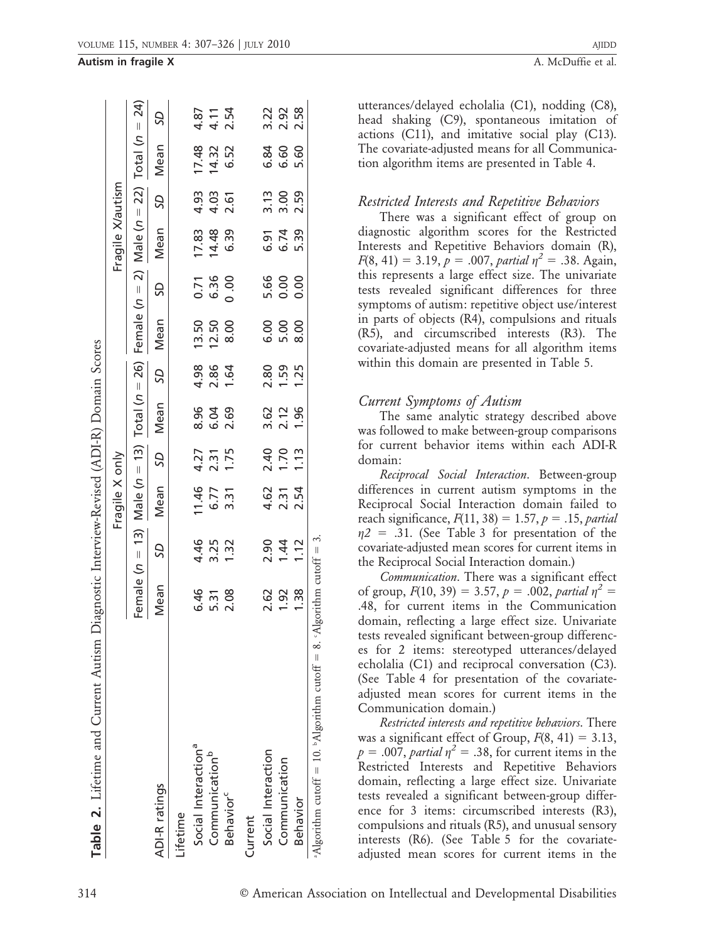|                                                         | ment we have the contract of the street in the contract of the contract of the contract of the contract of the contract of the contract of the contract of the contract of the contract of the contract of the contract of the |                                                    |                                                      |                            |                            |                      |                                                      |                      |                                                       |                                                                  |                                                         |                      |
|---------------------------------------------------------|--------------------------------------------------------------------------------------------------------------------------------------------------------------------------------------------------------------------------------|----------------------------------------------------|------------------------------------------------------|----------------------------|----------------------------|----------------------|------------------------------------------------------|----------------------|-------------------------------------------------------|------------------------------------------------------------------|---------------------------------------------------------|----------------------|
|                                                         |                                                                                                                                                                                                                                |                                                    | Fragile X only                                       |                            |                            |                      |                                                      |                      | Fragile X/autism                                      |                                                                  |                                                         |                      |
|                                                         |                                                                                                                                                                                                                                | Female $(n = 13)$ Male $(n = 13)$ Total $(n = 26)$ |                                                      |                            |                            |                      |                                                      |                      |                                                       |                                                                  | Female ( $n = 2$ ) Male ( $n = 22$ ) Total ( $n = 24$ ) |                      |
| ADI-R ratings                                           | Mean                                                                                                                                                                                                                           | <b>GS</b>                                          | Mean                                                 | SD                         | Mean                       | SQ                   | Mean                                                 | SD                   | Mean                                                  | SD                                                               | Mean                                                    | SQ                   |
| Lifetime                                                |                                                                                                                                                                                                                                |                                                    |                                                      |                            |                            |                      |                                                      |                      |                                                       |                                                                  |                                                         |                      |
| Social Interaction <sup>a</sup>                         |                                                                                                                                                                                                                                | 4.46                                               |                                                      |                            |                            |                      |                                                      |                      |                                                       |                                                                  | 17.48                                                   | 4.87                 |
| Communication <sup>b</sup>                              | 6.46<br>6.51<br>2.08                                                                                                                                                                                                           | 3.25                                               | $\begin{array}{c} 11.46 \\ 6.77 \\ 3.31 \end{array}$ | $4.27$<br>$2.31$<br>$1.75$ | 8<br>8 0 0<br>8 0 0<br>8 0 | $4.36$<br>$-1.64$    | $\begin{array}{c} 13.50 \\ 2.50 \\ 8.00 \end{array}$ | 0.71<br>6.36<br>0.00 | $\begin{array}{c} 17.83 \\ 14.48 \\ 6.39 \end{array}$ | $4.03$<br>$4.03$<br>$2.5$                                        | 14.32<br>6.52                                           | $4.11$<br>2.54       |
| Behavior <sup>c</sup>                                   |                                                                                                                                                                                                                                |                                                    |                                                      |                            |                            |                      |                                                      |                      |                                                       |                                                                  |                                                         |                      |
| Current                                                 |                                                                                                                                                                                                                                |                                                    |                                                      |                            |                            |                      |                                                      |                      |                                                       |                                                                  |                                                         |                      |
| Social Interaction                                      |                                                                                                                                                                                                                                |                                                    |                                                      |                            |                            |                      |                                                      |                      |                                                       |                                                                  |                                                         |                      |
| Communication                                           | 2.62                                                                                                                                                                                                                           | $2.90$<br>$1.12$<br>$1.12$                         | $4.52$<br>2.54<br>2.54                               | $2.40$<br>1.70<br>1.13     | 3.62<br>2.12<br>1.96       | 2.80<br>1.59<br>1.25 |                                                      | 66<br>0.00<br>0.01   | 6.74<br>6.79<br>6.9                                   | $\frac{2}{3}$<br>$\frac{3}{3}$<br>$\frac{5}{3}$<br>$\frac{5}{3}$ | 6.80<br>6.60<br>5.60                                    | 3.20<br>2.58<br>2.58 |
| Behavior                                                | $\frac{38}{2}$                                                                                                                                                                                                                 |                                                    |                                                      |                            |                            |                      |                                                      |                      |                                                       |                                                                  |                                                         |                      |
| Algorithm cutoff = 10. $^{\circ}$ Algorithm cutoff = 8. | Algorithm cutoff $=$ 3.                                                                                                                                                                                                        |                                                    |                                                      |                            |                            |                      |                                                      |                      |                                                       |                                                                  |                                                         |                      |

**Table 2.** Lifetime and Current Autism Diagnostic Interview-Revised (ADI-R) Domain Scores Lifetime and Current Autism Diagnostic Interview-Revised (ADI-R) Domain Scores utterances/delayed echolalia (C1), nodding (C8), head shaking (C9), spontaneous imitation of actions (C11), and imitative social play (C13). The covariate-adjusted means for all Communication algorithm items are presented in Table 4.

# Restricted Interests and Repetitive Behaviors

There was a significant effect of group on diagnostic algorithm scores for the Restricted Interests and Repetitive Behaviors domain (R),  $F(8, 41) = 3.19, p = .007,$  partial  $p^2 = .38$ . Again, this represents a large effect size. The univariate tests revealed significant differences for three symptoms of autism: repetitive object use/interest in parts of objects (R4), compulsions and rituals (R5), and circumscribed interests (R3). The covariate-adjusted means for all algorithm items within this domain are presented in Table 5.

# Current Symptoms of Autism

The same analytic strategy described above was followed to make between-group comparisons for current behavior items within each ADI-R domain:

Reciprocal Social Interaction. Between-group differences in current autism symptoms in the Reciprocal Social Interaction domain failed to reach significance,  $F(11, 38) = 1.57$ ,  $p = .15$ , partial  $n2 = .31$ . (See Table 3 for presentation of the covariate-adjusted mean scores for current items in the Reciprocal Social Interaction domain.)

Communication. There was a significant effect of group,  $F(10, 39) = 3.57$ ,  $p = .002$ , partial  $\eta^2 =$ .48, for current items in the Communication domain, reflecting a large effect size. Univariate tests revealed significant between-group differences for 2 items: stereotyped utterances/delayed echolalia (C1) and reciprocal conversation (C3). (See Table 4 for presentation of the covariateadjusted mean scores for current items in the Communication domain.)

Restricted interests and repetitive behaviors. There was a significant effect of Group,  $F(8, 41) = 3.13$ ,  $p = .007$ , *partial*  $\eta^2 = .38$ , for current items in the Restricted Interests and Repetitive Behaviors domain, reflecting a large effect size. Univariate tests revealed a significant between-group difference for 3 items: circumscribed interests (R3), compulsions and rituals (R5), and unusual sensory interests (R6). (See Table 5 for the covariateadjusted mean scores for current items in the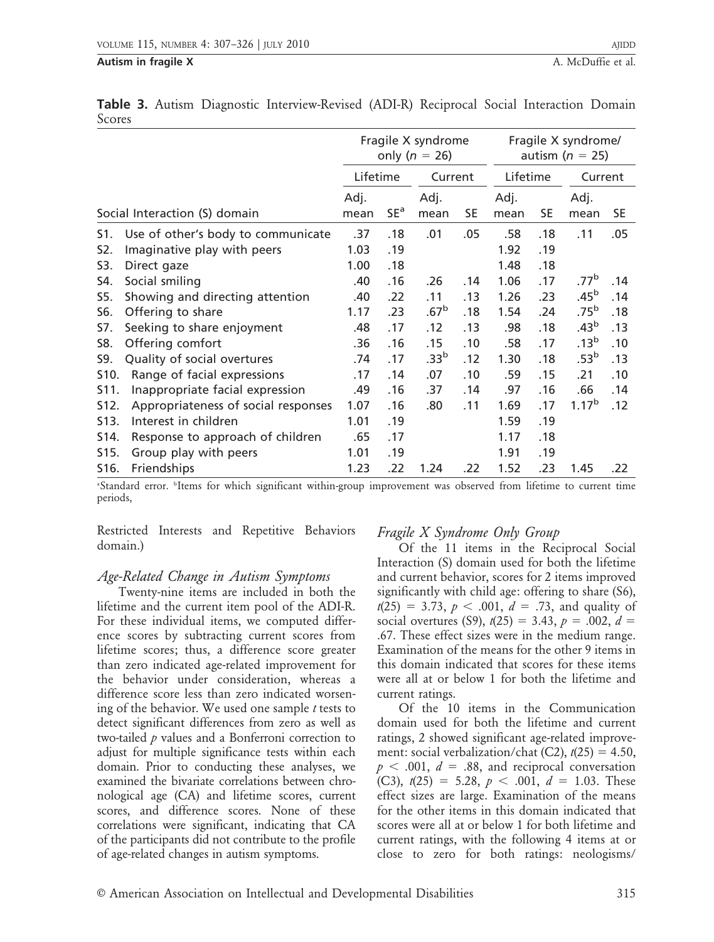|      |                                     | Fragile X syndrome<br>only ( $n = 26$ ) |                 |                  |           | Fragile X syndrome/<br>autism ( $n = 25$ ) |           |                  |           |
|------|-------------------------------------|-----------------------------------------|-----------------|------------------|-----------|--------------------------------------------|-----------|------------------|-----------|
|      |                                     |                                         | Lifetime        | Current          |           | Lifetime                                   |           | Current          |           |
|      |                                     | Adj.                                    |                 | Adj.             |           | Adj.                                       |           | Adj.             |           |
|      | Social Interaction (S) domain       | mean                                    | SE <sup>a</sup> | mean             | <b>SE</b> | mean                                       | <b>SE</b> | mean             | <b>SE</b> |
| S1.  | Use of other's body to communicate  | .37                                     | .18             | .01              | .05       | .58                                        | .18       | .11              | .05       |
| S2.  | Imaginative play with peers         | 1.03                                    | .19             |                  |           | 1.92                                       | .19       |                  |           |
| S3.  | Direct gaze                         | 1.00                                    | .18             |                  |           | 1.48                                       | .18       |                  |           |
| S4.  | Social smiling                      | .40                                     | .16             | .26              | .14       | 1.06                                       | .17       | .77 <sup>b</sup> | .14       |
| S5.  | Showing and directing attention     | .40                                     | .22             | .11              | .13       | 1.26                                       | .23       | .45 <sup>b</sup> | .14       |
| S6.  | Offering to share                   | 1.17                                    | .23             | .67 <sup>b</sup> | .18       | 1.54                                       | .24       | .75 <sup>b</sup> | .18       |
| S7.  | Seeking to share enjoyment          | .48                                     | .17             | .12              | .13       | .98                                        | .18       | .43 <sup>b</sup> | .13       |
| S8.  | Offering comfort                    | .36                                     | .16             | .15              | .10       | .58                                        | .17       | $.13^{b}$        | .10       |
| S9.  | Quality of social overtures         | .74                                     | .17             | .33 <sup>b</sup> | .12       | 1.30                                       | .18       | .53 <sup>b</sup> | .13       |
| S10. | Range of facial expressions         | .17                                     | .14             | .07              | .10       | .59                                        | .15       | .21              | .10       |
| S11. | Inappropriate facial expression     | .49                                     | .16             | .37              | .14       | .97                                        | .16       | .66              | .14       |
| S12. | Appropriateness of social responses | 1.07                                    | .16             | .80              | .11       | 1.69                                       | .17       | $1.17^{b}$       | .12       |
| S13. | Interest in children                | 1.01                                    | .19             |                  |           | 1.59                                       | .19       |                  |           |
| S14. | Response to approach of children    | .65                                     | .17             |                  |           | 1.17                                       | .18       |                  |           |
| S15. | Group play with peers               | 1.01                                    | .19             |                  |           | 1.91                                       | .19       |                  |           |
| S16. | Friendships                         | 1.23                                    | .22             | 1.24             | .22       | 1.52                                       | .23       | 1.45             | .22       |

Table 3. Autism Diagnostic Interview-Revised (ADI-R) Reciprocal Social Interaction Domain Scores

a Standard error. <sup>b</sup> Items for which significant within-group improvement was observed from lifetime to current time periods,

Restricted Interests and Repetitive Behaviors domain.)

# Age-Related Change in Autism Symptoms

Twenty-nine items are included in both the lifetime and the current item pool of the ADI-R. For these individual items, we computed difference scores by subtracting current scores from lifetime scores; thus, a difference score greater than zero indicated age-related improvement for the behavior under consideration, whereas a difference score less than zero indicated worsening of the behavior. We used one sample *t* tests to detect significant differences from zero as well as two-tailed  $p$  values and a Bonferroni correction to adjust for multiple significance tests within each domain. Prior to conducting these analyses, we examined the bivariate correlations between chronological age (CA) and lifetime scores, current scores, and difference scores. None of these correlations were significant, indicating that CA of the participants did not contribute to the profile of age-related changes in autism symptoms.

# Fragile X Syndrome Only Group

Of the 11 items in the Reciprocal Social Interaction (S) domain used for both the lifetime and current behavior, scores for 2 items improved significantly with child age: offering to share (S6),  $t(25) = 3.73, p < .001, d = .73,$  and quality of social overtures (S9),  $t(25) = 3.43$ ,  $p = .002$ ,  $d =$ .67. These effect sizes were in the medium range. Examination of the means for the other 9 items in this domain indicated that scores for these items were all at or below 1 for both the lifetime and current ratings.

Of the 10 items in the Communication domain used for both the lifetime and current ratings, 2 showed significant age-related improvement: social verbalization/chat  $(C2)$ ,  $t(25) = 4.50$ ,  $p < .001, d = .88,$  and reciprocal conversation (C3),  $t(25) = 5.28, p < .001, d = 1.03$ . These effect sizes are large. Examination of the means for the other items in this domain indicated that scores were all at or below 1 for both lifetime and current ratings, with the following 4 items at or close to zero for both ratings: neologisms/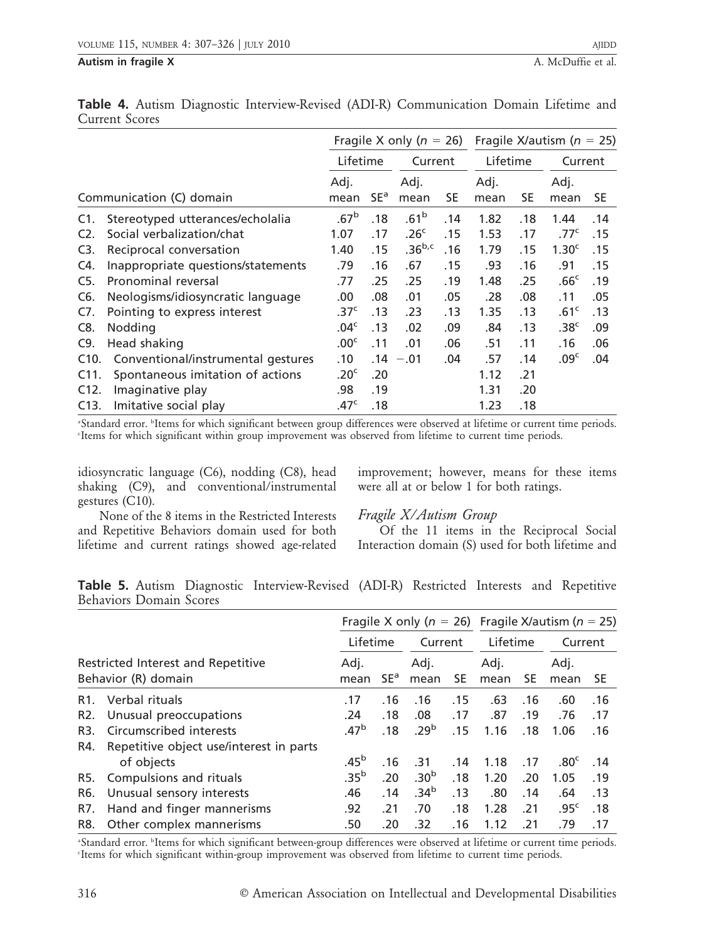|     | Current Scores                       |                     |        |                                                           |           |              |     |                   |           |
|-----|--------------------------------------|---------------------|--------|-----------------------------------------------------------|-----------|--------------|-----|-------------------|-----------|
|     |                                      |                     |        | Fragile X only ( $n = 26$ ) Fragile X/autism ( $n = 25$ ) |           |              |     |                   |           |
|     |                                      | Lifetime<br>Current |        | Lifetime                                                  |           | Current      |     |                   |           |
|     | Communication (C) domain             | Adj.<br>mean        | $SE^a$ | Adj.<br>mean                                              | <b>SE</b> | Adj.<br>mean | SE. | Adj.<br>mean      | <b>SE</b> |
|     |                                      |                     |        |                                                           |           |              |     |                   |           |
|     | C1. Stereotyped utterances/echolalia | .67 <sup>b</sup>    | .18    | .61 <sup>b</sup>                                          | .14       | 1.82         | .18 | 1.44              | .14       |
| C2. | Social verbalization/chat            | 1.07                | .17    | .26 <sup>c</sup>                                          | .15       | 1.53         | .17 | .77 <sup>c</sup>  | .15       |
| C3. | Reciprocal conversation              | 1.40                | .15    | $.36^{b,c}$                                               | .16       | 1.79         | .15 | 1.30 <sup>c</sup> | .15       |
| C4. | Inappropriate questions/statements   | .79                 | .16    | .67                                                       | .15       | .93          | .16 | .91               | .15       |
| C5. | Pronominal reversal                  | .77                 | .25    | .25                                                       | .19       | 1.48         | .25 | .66 <sup>c</sup>  | .19       |
| C6. | Neologisms/idiosyncratic language    | .00                 | .08    | .01                                                       | .05       | .28          | .08 | .11               | .05       |
| C7. | Pointing to express interest         | .37 <sup>c</sup>    | .13    | .23                                                       | .13       | 1.35         | .13 | .61 <sup>c</sup>  | .13       |
| C8. | Nodding                              | .04 <sup>c</sup>    | .13    | .02                                                       | .09       | .84          | .13 | .38 <sup>c</sup>  | .09       |
| C9. | Head shaking                         | .00 <sup>c</sup>    | .11    | .01                                                       | .06       | .51          | .11 | .16               | .06       |

Table 4. Autism Diagnostic Interview-Revised (ADI-R) Communication Domain Lifetime and Current Scores

a Standard error. <sup>b</sup> Items for which significant between group differences were observed at lifetime or current time periods. c Items for which significant within group improvement was observed from lifetime to current time periods.

C10. Conventional/instrumental gestures .10 .14 2.01 .04 .57 .14 .09<sup>c</sup> .04

C11. Spontaneous imitation of actions  $20^{\circ}$  .20 1.12 .21 C12. Imaginative play .98 .19 1.31 .20 C13. Imitative social play  $2.47<sup>c</sup>$  .18 1.23 .18

idiosyncratic language (C6), nodding (C8), head shaking (C9), and conventional/instrumental gestures (C10).

improvement; however, means for these items were all at or below 1 for both ratings.

None of the 8 items in the Restricted Interests and Repetitive Behaviors domain used for both lifetime and current ratings showed age-related

### Fragile X/Autism Group

Of the 11 items in the Reciprocal Social Interaction domain (S) used for both lifetime and

|                                |  | Table 5. Autism Diagnostic Interview-Revised (ADI-R) Restricted Interests and Repetitive |  |  |  |
|--------------------------------|--|------------------------------------------------------------------------------------------|--|--|--|
| <b>Behaviors Domain Scores</b> |  |                                                                                          |  |  |  |

|                  |                                                           |                  |        | Fragile X only ( $n = 26$ ) Fragile X/autism ( $n = 25$ ) |     |              |           |                  |           |
|------------------|-----------------------------------------------------------|------------------|--------|-----------------------------------------------------------|-----|--------------|-----------|------------------|-----------|
|                  |                                                           | Lifetime         |        | Current                                                   |     | Lifetime     |           | Current          |           |
|                  | Restricted Interest and Repetitive<br>Behavior (R) domain | Adj.<br>mean     | $SE^a$ | Adj.<br>mean                                              | SE. | Adj.<br>mean | <b>SE</b> | Adj.<br>mean     | <b>SE</b> |
| R <sub>1</sub> . | Verbal rituals                                            | .17              | .16    | .16                                                       | .15 | .63          | .16       | .60              | .16       |
| R <sub>2</sub> . | Unusual preoccupations                                    | .24              | .18    | .08                                                       | .17 | .87          | .19       | .76              | .17       |
| R3.              | Circumscribed interests                                   | .47 <sup>b</sup> | .18    | .29 <sup>b</sup>                                          | .15 | 1.16         | .18       | 1.06             | .16       |
| R4.              | Repetitive object use/interest in parts                   |                  |        |                                                           |     |              |           |                  |           |
|                  | of objects                                                | .45 <sup>b</sup> | .16    | .31                                                       | .14 | 1.18         | .17       | .80 <sup>c</sup> | .14       |
| R5.              | Compulsions and rituals                                   | .35 <sup>b</sup> | .20    | .30 <sup>b</sup>                                          | .18 | 1.20         | .20       | 1.05             | .19       |
| R6.              | Unusual sensory interests                                 | .46              | .14    | .34 <sup>b</sup>                                          | .13 | .80          | .14       | .64              | .13       |
| R7.              | Hand and finger mannerisms                                | .92              | .21    | .70                                                       | .18 | 1.28         | .21       | .95 <sup>c</sup> | .18       |
| R8.              | Other complex mannerisms                                  | .50              | .20    | .32                                                       | .16 | 1.12         | .21       | .79              | .17       |

a Standard error. <sup>b</sup> Items for which significant between-group differences were observed at lifetime or current time periods. c Items for which significant within-group improvement was observed from lifetime to current time periods.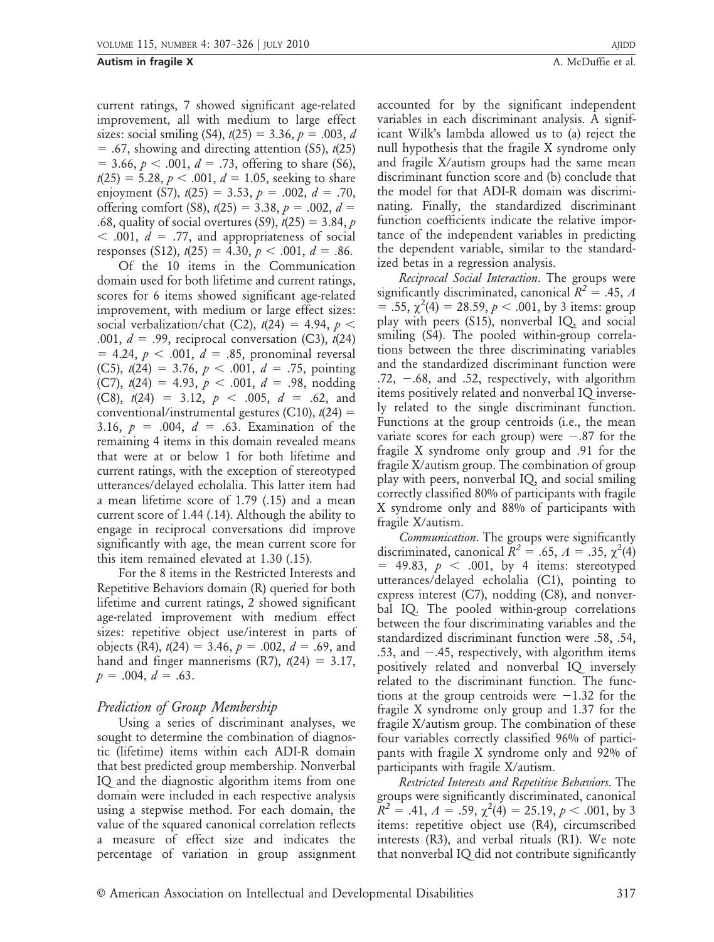#### Autism in fragile X and the Second Second Second A. McDuffie et al.

current ratings, 7 showed significant age-related improvement, all with medium to large effect sizes: social smiling (S4),  $t(25) = 3.36$ ,  $p = .003$ , d  $=$  .67, showing and directing attention (S5),  $t(25)$  $= 3.66, p < .001, d = .73$ , offering to share (S6),  $t(25) = 5.28, p < .001, d = 1.05$ , seeking to share enjoyment (S7),  $t(25) = 3.53$ ,  $p = .002$ ,  $d = .70$ , offering comfort (S8),  $t(25) = 3.38$ ,  $p = .002$ ,  $d =$ .68, quality of social overtures (S9),  $t(25) = 3.84$ , p

responses (S12),  $t(25) = 4.30, p < .001, d = .86$ . Of the 10 items in the Communication domain used for both lifetime and current ratings, scores for 6 items showed significant age-related improvement, with medium or large effect sizes: social verbalization/chat (C2),  $t(24) = 4.94$ ,  $p <$ .001,  $d = .99$ , reciprocal conversation (C3),  $t(24)$  $= 4.24, p < .001, d = .85,$  pronominal reversal (C5),  $t(24) = 3.76$ ,  $p < .001$ ,  $d = .75$ , pointing (C7),  $t(24) = 4.93$ ,  $p < .001$ ,  $d = .98$ , nodding (C8),  $t(24) = 3.12$ ,  $p < .005$ ,  $d = .62$ , and conventional/instrumental gestures (C10),  $t(24)$  = 3.16,  $p = .004$ ,  $d = .63$ . Examination of the remaining 4 items in this domain revealed means that were at or below 1 for both lifetime and current ratings, with the exception of stereotyped utterances/delayed echolalia. This latter item had a mean lifetime score of 1.79 (.15) and a mean current score of 1.44 (.14). Although the ability to engage in reciprocal conversations did improve significantly with age, the mean current score for this item remained elevated at 1.30 (.15).

 $<$  .001,  $d = .77$ , and appropriateness of social

For the 8 items in the Restricted Interests and Repetitive Behaviors domain (R) queried for both lifetime and current ratings, 2 showed significant age-related improvement with medium effect sizes: repetitive object use/interest in parts of objects (R4),  $t(24) = 3.46$ ,  $p = .002$ ,  $d = .69$ , and hand and finger mannerisms (R7),  $t(24) = 3.17$ ,  $p = .004, d = .63.$ 

### Prediction of Group Membership

Using a series of discriminant analyses, we sought to determine the combination of diagnostic (lifetime) items within each ADI-R domain that best predicted group membership. Nonverbal IQ and the diagnostic algorithm items from one domain were included in each respective analysis using a stepwise method. For each domain, the value of the squared canonical correlation reflects a measure of effect size and indicates the percentage of variation in group assignment

accounted for by the significant independent variables in each discriminant analysis. A significant Wilk's lambda allowed us to (a) reject the null hypothesis that the fragile X syndrome only and fragile X/autism groups had the same mean discriminant function score and (b) conclude that the model for that ADI-R domain was discriminating. Finally, the standardized discriminant function coefficients indicate the relative importance of the independent variables in predicting the dependent variable, similar to the standardized betas in a regression analysis.

Reciprocal Social Interaction. The groups were significantly discriminated, canonical  $R^2 = .45, \Lambda$  $= .55$ ,  $\chi^2(4) = 28.59$ ,  $p < .001$ , by 3 items: group play with peers (S15), nonverbal IQ, and social smiling (S4). The pooled within-group correlations between the three discriminating variables and the standardized discriminant function were  $.72, -0.68,$  and  $.52$ , respectively, with algorithm items positively related and nonverbal IQ inversely related to the single discriminant function. Functions at the group centroids (i.e., the mean variate scores for each group) were  $-.87$  for the fragile X syndrome only group and .91 for the fragile X/autism group. The combination of group play with peers, nonverbal IQ, and social smiling correctly classified 80% of participants with fragile X syndrome only and 88% of participants with fragile X/autism.

Communication. The groups were significantly discriminated, canonical  $R^2 = .65$ ,  $\Lambda = .35$ ,  $\chi^2(4)$  $=$  49.83,  $p < .001$ , by 4 items: stereotyped utterances/delayed echolalia (C1), pointing to express interest (C7), nodding (C8), and nonverbal IQ. The pooled within-group correlations between the four discriminating variables and the standardized discriminant function were .58, .54,  $.53$ , and  $-.45$ , respectively, with algorithm items positively related and nonverbal IQ inversely related to the discriminant function. The functions at the group centroids were  $-1.32$  for the fragile X syndrome only group and 1.37 for the fragile X/autism group. The combination of these four variables correctly classified 96% of participants with fragile X syndrome only and 92% of participants with fragile X/autism.

Restricted Interests and Repetitive Behaviors. The groups were significantly discriminated, canonical  $\widetilde{R}^2 = .41, \Delta = .59, \chi^2(4) = 25.19, p < .001, \text{ by } 3$ items: repetitive object use (R4), circumscribed interests (R3), and verbal rituals (R1). We note that nonverbal IQ did not contribute significantly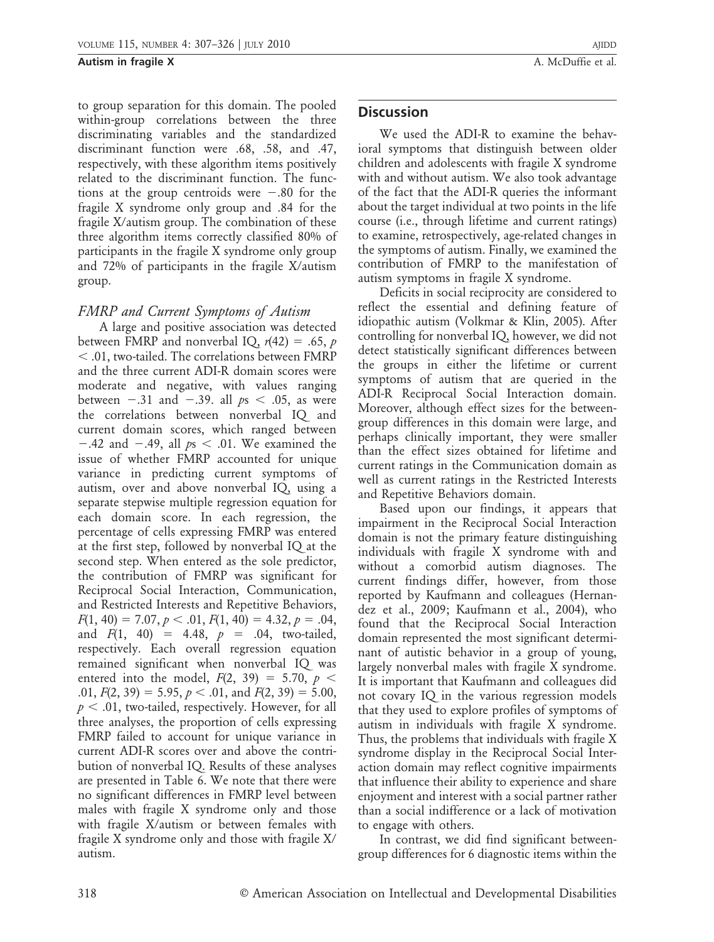to group separation for this domain. The pooled within-group correlations between the three discriminating variables and the standardized discriminant function were .68, .58, and .47, respectively, with these algorithm items positively related to the discriminant function. The functions at the group centroids were  $-.80$  for the fragile X syndrome only group and .84 for the fragile X/autism group. The combination of these three algorithm items correctly classified 80% of participants in the fragile X syndrome only group and 72% of participants in the fragile X/autism group.

### FMRP and Current Symptoms of Autism

A large and positive association was detected between FMRP and nonverbal IQ,  $r(42) = .65$ ,  $p$  $<$  .01, two-tailed. The correlations between FMRP and the three current ADI-R domain scores were moderate and negative, with values ranging between  $-.31$  and  $-.39$ . all  $ps < .05$ , as were the correlations between nonverbal IQ and current domain scores, which ranged between  $-0.42$  and  $-0.49$ , all  $ps < 0.01$ . We examined the issue of whether FMRP accounted for unique variance in predicting current symptoms of autism, over and above nonverbal IQ, using a separate stepwise multiple regression equation for each domain score. In each regression, the percentage of cells expressing FMRP was entered at the first step, followed by nonverbal IQ at the second step. When entered as the sole predictor, the contribution of FMRP was significant for Reciprocal Social Interaction, Communication, and Restricted Interests and Repetitive Behaviors,  $F(1, 40) = 7.07, p < .01, F(1, 40) = 4.32, p = .04,$ and  $F(1, 40) = 4.48, p = .04$ , two-tailed, respectively. Each overall regression equation remained significant when nonverbal IQ was entered into the model,  $F(2, 39) = 5.70, p <$ .01,  $F(2, 39) = 5.95$ ,  $p < .01$ , and  $F(2, 39) = 5.00$ ,  $p < .01$ , two-tailed, respectively. However, for all three analyses, the proportion of cells expressing FMRP failed to account for unique variance in current ADI-R scores over and above the contribution of nonverbal IQ. Results of these analyses are presented in Table 6. We note that there were no significant differences in FMRP level between males with fragile X syndrome only and those with fragile X/autism or between females with fragile X syndrome only and those with fragile X/ autism.

### **Discussion**

We used the ADI-R to examine the behavioral symptoms that distinguish between older children and adolescents with fragile X syndrome with and without autism. We also took advantage of the fact that the ADI-R queries the informant about the target individual at two points in the life course (i.e., through lifetime and current ratings) to examine, retrospectively, age-related changes in the symptoms of autism. Finally, we examined the contribution of FMRP to the manifestation of autism symptoms in fragile X syndrome.

Deficits in social reciprocity are considered to reflect the essential and defining feature of idiopathic autism (Volkmar & Klin, 2005). After controlling for nonverbal IQ, however, we did not detect statistically significant differences between the groups in either the lifetime or current symptoms of autism that are queried in the ADI-R Reciprocal Social Interaction domain. Moreover, although effect sizes for the betweengroup differences in this domain were large, and perhaps clinically important, they were smaller than the effect sizes obtained for lifetime and current ratings in the Communication domain as well as current ratings in the Restricted Interests and Repetitive Behaviors domain.

Based upon our findings, it appears that impairment in the Reciprocal Social Interaction domain is not the primary feature distinguishing individuals with fragile X syndrome with and without a comorbid autism diagnoses. The current findings differ, however, from those reported by Kaufmann and colleagues (Hernandez et al., 2009; Kaufmann et al., 2004), who found that the Reciprocal Social Interaction domain represented the most significant determinant of autistic behavior in a group of young, largely nonverbal males with fragile X syndrome. It is important that Kaufmann and colleagues did not covary IQ in the various regression models that they used to explore profiles of symptoms of autism in individuals with fragile X syndrome. Thus, the problems that individuals with fragile X syndrome display in the Reciprocal Social Interaction domain may reflect cognitive impairments that influence their ability to experience and share enjoyment and interest with a social partner rather than a social indifference or a lack of motivation to engage with others.

In contrast, we did find significant betweengroup differences for 6 diagnostic items within the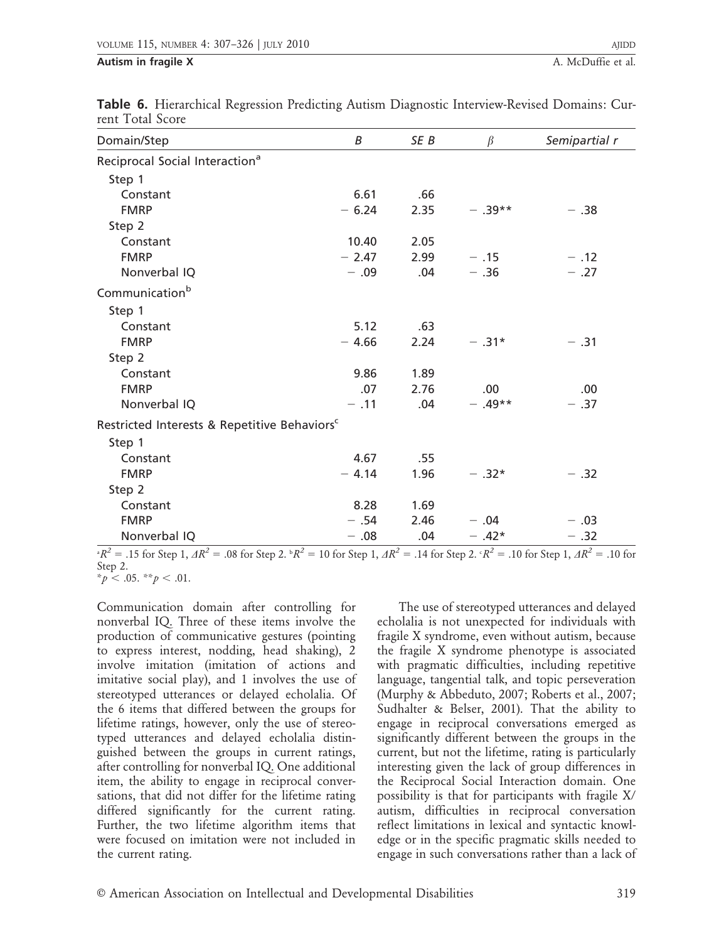Communication domain after controlling for nonverbal IQ. Three of these items involve the production of communicative gestures (pointing to express interest, nodding, head shaking), 2 involve imitation (imitation of actions and imitative social play), and 1 involves the use of stereotyped utterances or delayed echolalia. Of the 6 items that differed between the groups for lifetime ratings, however, only the use of stereotyped utterances and delayed echolalia distinguished between the groups in current ratings, after controlling for nonverbal IQ. One additional item, the ability to engage in reciprocal conversations, that did not differ for the lifetime rating differed significantly for the current rating. Further, the two lifetime algorithm items that were focused on imitation were not included in

the current rating.

Step 2.

 $*_{p} < .05.$   $*_{p} < .01.$ 

### the fragile X syndrome phenotype is associated with pragmatic difficulties, including repetitive language, tangential talk, and topic perseveration (Murphy & Abbeduto, 2007; Roberts et al., 2007; Sudhalter & Belser, 2001). That the ability to engage in reciprocal conversations emerged as significantly different between the groups in the current, but not the lifetime, rating is particularly interesting given the lack of group differences in the Reciprocal Social Interaction domain. One possibility is that for participants with fragile X/ autism, difficulties in reciprocal conversation reflect limitations in lexical and syntactic knowledge or in the specific pragmatic skills needed to engage in such conversations rather than a lack of

The use of stereotyped utterances and delayed echolalia is not unexpected for individuals with fragile X syndrome, even without autism, because

VOLUME 115, NUMBER 4: 307–326 | JULY 2010 AJIDD

Autism in fragile X and A. McDuffie et al.

| Domain/Step                                                                                                                                                             | В       | SE B | $\beta$  | Semipartial r |
|-------------------------------------------------------------------------------------------------------------------------------------------------------------------------|---------|------|----------|---------------|
| Reciprocal Social Interaction <sup>a</sup>                                                                                                                              |         |      |          |               |
| Step 1                                                                                                                                                                  |         |      |          |               |
| Constant                                                                                                                                                                | 6.61    | .66  |          |               |
| <b>FMRP</b>                                                                                                                                                             | $-6.24$ | 2.35 | $-.39**$ | $-.38$        |
| Step 2                                                                                                                                                                  |         |      |          |               |
| Constant                                                                                                                                                                | 10.40   | 2.05 |          |               |
| <b>FMRP</b>                                                                                                                                                             | $-2.47$ | 2.99 | $- .15$  | $-.12$        |
| Nonverbal IQ                                                                                                                                                            | $-.09$  | .04  | $-.36$   | $-.27$        |
| Communication <sup>b</sup>                                                                                                                                              |         |      |          |               |
| Step 1                                                                                                                                                                  |         |      |          |               |
| Constant                                                                                                                                                                | 5.12    | .63  |          |               |
| <b>FMRP</b>                                                                                                                                                             | $-4.66$ | 2.24 | $-.31*$  | $-.31$        |
| Step 2                                                                                                                                                                  |         |      |          |               |
| Constant                                                                                                                                                                | 9.86    | 1.89 |          |               |
| <b>FMRP</b>                                                                                                                                                             | .07     | 2.76 | .00.     | .00.          |
| Nonverbal IQ                                                                                                                                                            | $-.11$  | .04  | $-.49**$ | $-.37$        |
| Restricted Interests & Repetitive Behaviors <sup>c</sup>                                                                                                                |         |      |          |               |
| Step 1                                                                                                                                                                  |         |      |          |               |
| Constant                                                                                                                                                                | 4.67    | .55  |          |               |
| <b>FMRP</b>                                                                                                                                                             | $-4.14$ | 1.96 | $-.32*$  | $-.32$        |
| Step 2                                                                                                                                                                  |         |      |          |               |
| Constant                                                                                                                                                                | 8.28    | 1.69 |          |               |
| <b>FMRP</b>                                                                                                                                                             | $-.54$  | 2.46 | $-.04$   | $-.03$        |
| Nonverbal IQ                                                                                                                                                            | $-0.08$ | .04  | $-.42*$  | $-.32$        |
| ${}^{\circ}R^2 = .15$ for Step 1, $AR^2 = .08$ for Step 2. ${}^{\circ}R^2 = 10$ for Step 1, $AR^2 = .14$ for Step 2. ${}^{\circ}R^2 = .10$ for Step 1, $AR^2 = .10$ for |         |      |          |               |

Table 6. Hierarchical Regression Predicting Autism Diagnostic Interview-Revised Domains: Current Total Score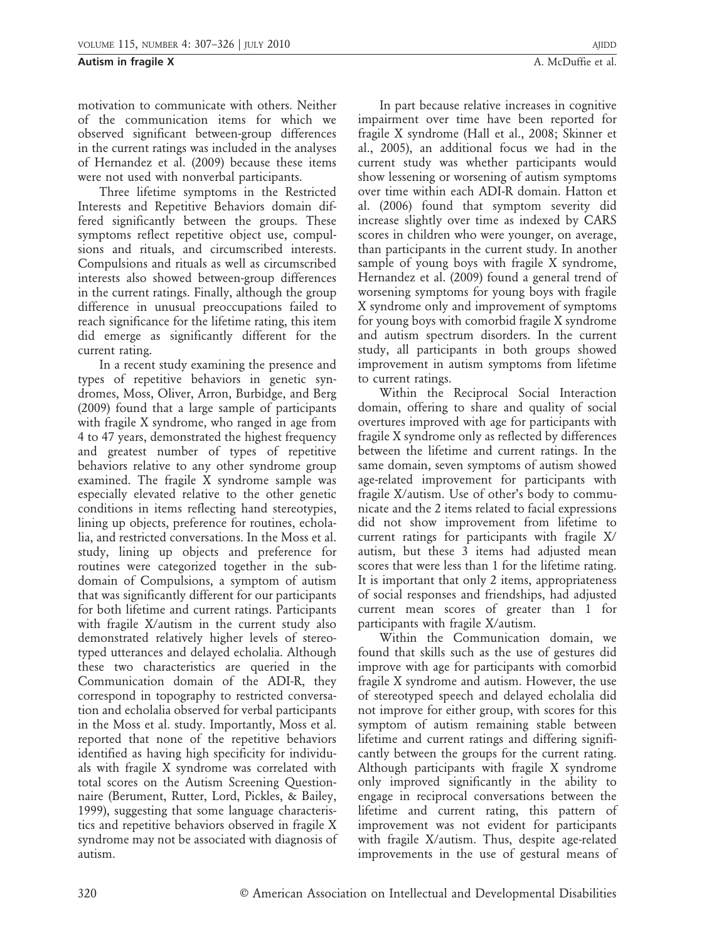motivation to communicate with others. Neither of the communication items for which we observed significant between-group differences in the current ratings was included in the analyses of Hernandez et al. (2009) because these items were not used with nonverbal participants.

Three lifetime symptoms in the Restricted Interests and Repetitive Behaviors domain differed significantly between the groups. These symptoms reflect repetitive object use, compulsions and rituals, and circumscribed interests. Compulsions and rituals as well as circumscribed interests also showed between-group differences in the current ratings. Finally, although the group difference in unusual preoccupations failed to reach significance for the lifetime rating, this item did emerge as significantly different for the current rating.

In a recent study examining the presence and types of repetitive behaviors in genetic syndromes, Moss, Oliver, Arron, Burbidge, and Berg (2009) found that a large sample of participants with fragile X syndrome, who ranged in age from 4 to 47 years, demonstrated the highest frequency and greatest number of types of repetitive behaviors relative to any other syndrome group examined. The fragile X syndrome sample was especially elevated relative to the other genetic conditions in items reflecting hand stereotypies, lining up objects, preference for routines, echolalia, and restricted conversations. In the Moss et al. study, lining up objects and preference for routines were categorized together in the subdomain of Compulsions, a symptom of autism that was significantly different for our participants for both lifetime and current ratings. Participants with fragile X/autism in the current study also demonstrated relatively higher levels of stereotyped utterances and delayed echolalia. Although these two characteristics are queried in the Communication domain of the ADI-R, they correspond in topography to restricted conversation and echolalia observed for verbal participants in the Moss et al. study. Importantly, Moss et al. reported that none of the repetitive behaviors identified as having high specificity for individuals with fragile X syndrome was correlated with total scores on the Autism Screening Questionnaire (Berument, Rutter, Lord, Pickles, & Bailey, 1999), suggesting that some language characteristics and repetitive behaviors observed in fragile X syndrome may not be associated with diagnosis of autism.

In part because relative increases in cognitive impairment over time have been reported for fragile X syndrome (Hall et al., 2008; Skinner et al., 2005), an additional focus we had in the current study was whether participants would show lessening or worsening of autism symptoms over time within each ADI-R domain. Hatton et al. (2006) found that symptom severity did increase slightly over time as indexed by CARS scores in children who were younger, on average, than participants in the current study. In another sample of young boys with fragile X syndrome, Hernandez et al. (2009) found a general trend of worsening symptoms for young boys with fragile X syndrome only and improvement of symptoms for young boys with comorbid fragile X syndrome and autism spectrum disorders. In the current study, all participants in both groups showed improvement in autism symptoms from lifetime to current ratings.

Within the Reciprocal Social Interaction domain, offering to share and quality of social overtures improved with age for participants with fragile X syndrome only as reflected by differences between the lifetime and current ratings. In the same domain, seven symptoms of autism showed age-related improvement for participants with fragile X/autism. Use of other's body to communicate and the 2 items related to facial expressions did not show improvement from lifetime to current ratings for participants with fragile X/ autism, but these 3 items had adjusted mean scores that were less than 1 for the lifetime rating. It is important that only 2 items, appropriateness of social responses and friendships, had adjusted current mean scores of greater than 1 for participants with fragile X/autism.

Within the Communication domain, we found that skills such as the use of gestures did improve with age for participants with comorbid fragile X syndrome and autism. However, the use of stereotyped speech and delayed echolalia did not improve for either group, with scores for this symptom of autism remaining stable between lifetime and current ratings and differing significantly between the groups for the current rating. Although participants with fragile X syndrome only improved significantly in the ability to engage in reciprocal conversations between the lifetime and current rating, this pattern of improvement was not evident for participants with fragile X/autism. Thus, despite age-related improvements in the use of gestural means of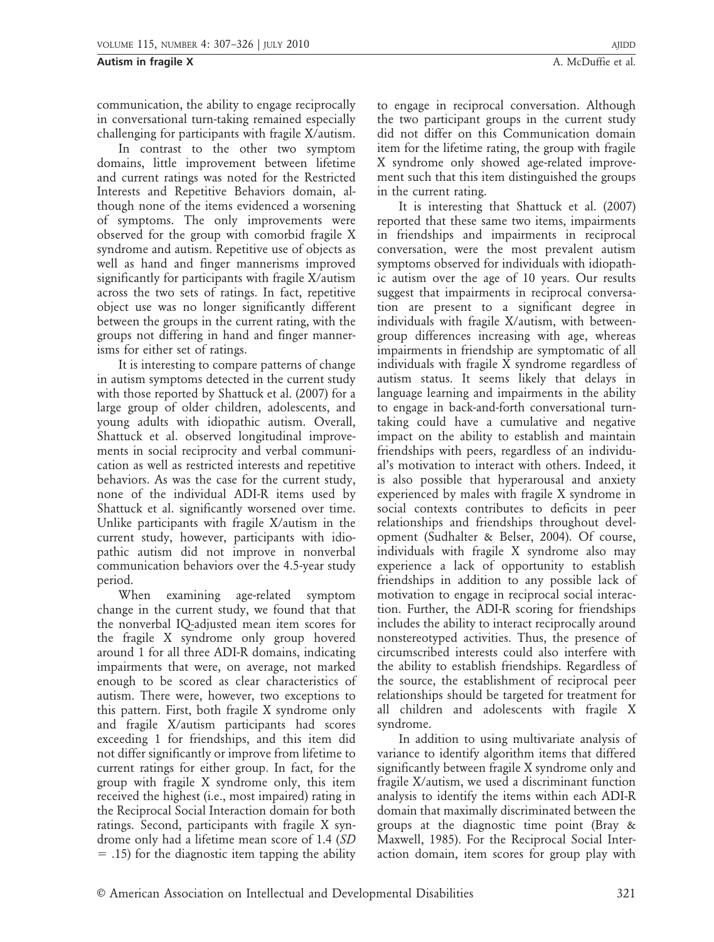communication, the ability to engage reciprocally in conversational turn-taking remained especially challenging for participants with fragile X/autism.

In contrast to the other two symptom domains, little improvement between lifetime and current ratings was noted for the Restricted Interests and Repetitive Behaviors domain, although none of the items evidenced a worsening of symptoms. The only improvements were observed for the group with comorbid fragile X syndrome and autism. Repetitive use of objects as well as hand and finger mannerisms improved significantly for participants with fragile X/autism across the two sets of ratings. In fact, repetitive object use was no longer significantly different between the groups in the current rating, with the groups not differing in hand and finger mannerisms for either set of ratings.

It is interesting to compare patterns of change in autism symptoms detected in the current study with those reported by Shattuck et al. (2007) for a large group of older children, adolescents, and young adults with idiopathic autism. Overall, Shattuck et al. observed longitudinal improvements in social reciprocity and verbal communication as well as restricted interests and repetitive behaviors. As was the case for the current study, none of the individual ADI-R items used by Shattuck et al. significantly worsened over time. Unlike participants with fragile X/autism in the current study, however, participants with idiopathic autism did not improve in nonverbal communication behaviors over the 4.5-year study period.

When examining age-related symptom change in the current study, we found that that the nonverbal IQ-adjusted mean item scores for the fragile X syndrome only group hovered around 1 for all three ADI-R domains, indicating impairments that were, on average, not marked enough to be scored as clear characteristics of autism. There were, however, two exceptions to this pattern. First, both fragile X syndrome only and fragile X/autism participants had scores exceeding 1 for friendships, and this item did not differ significantly or improve from lifetime to current ratings for either group. In fact, for the group with fragile X syndrome only, this item received the highest (i.e., most impaired) rating in the Reciprocal Social Interaction domain for both ratings. Second, participants with fragile X syndrome only had a lifetime mean score of 1.4 (SD  $=$  .15) for the diagnostic item tapping the ability

to engage in reciprocal conversation. Although the two participant groups in the current study did not differ on this Communication domain item for the lifetime rating, the group with fragile X syndrome only showed age-related improvement such that this item distinguished the groups in the current rating.

It is interesting that Shattuck et al. (2007) reported that these same two items, impairments in friendships and impairments in reciprocal conversation, were the most prevalent autism symptoms observed for individuals with idiopathic autism over the age of 10 years. Our results suggest that impairments in reciprocal conversation are present to a significant degree in individuals with fragile X/autism, with betweengroup differences increasing with age, whereas impairments in friendship are symptomatic of all individuals with fragile X syndrome regardless of autism status. It seems likely that delays in language learning and impairments in the ability to engage in back-and-forth conversational turntaking could have a cumulative and negative impact on the ability to establish and maintain friendships with peers, regardless of an individual's motivation to interact with others. Indeed, it is also possible that hyperarousal and anxiety experienced by males with fragile X syndrome in social contexts contributes to deficits in peer relationships and friendships throughout development (Sudhalter & Belser, 2004). Of course, individuals with fragile X syndrome also may experience a lack of opportunity to establish friendships in addition to any possible lack of motivation to engage in reciprocal social interaction. Further, the ADI-R scoring for friendships includes the ability to interact reciprocally around nonstereotyped activities. Thus, the presence of circumscribed interests could also interfere with the ability to establish friendships. Regardless of the source, the establishment of reciprocal peer relationships should be targeted for treatment for all children and adolescents with fragile X syndrome.

In addition to using multivariate analysis of variance to identify algorithm items that differed significantly between fragile X syndrome only and fragile X/autism, we used a discriminant function analysis to identify the items within each ADI-R domain that maximally discriminated between the groups at the diagnostic time point (Bray & Maxwell, 1985). For the Reciprocal Social Interaction domain, item scores for group play with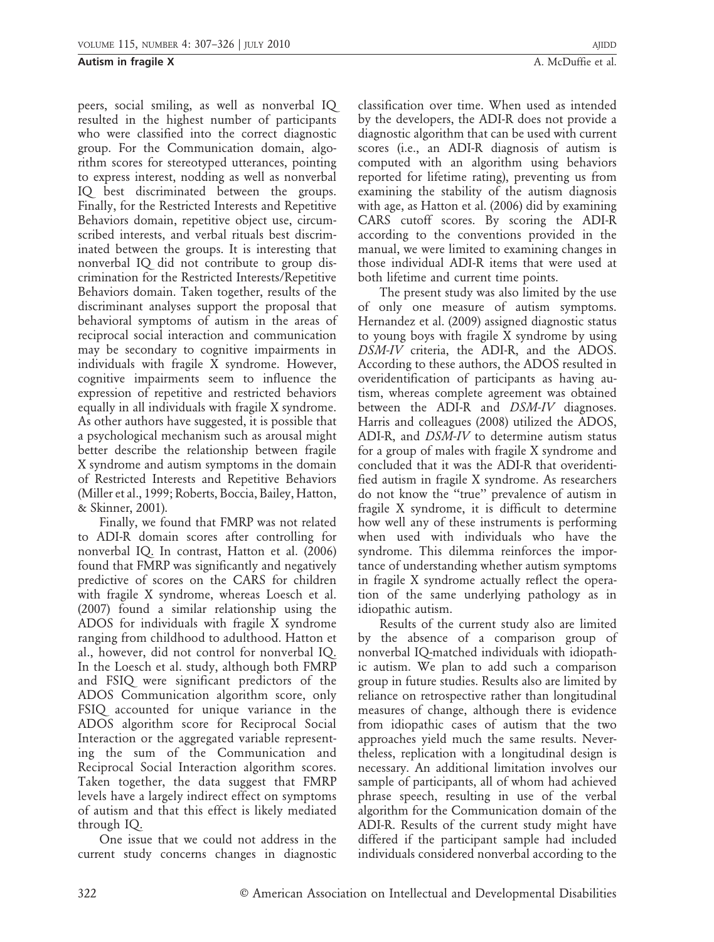peers, social smiling, as well as nonverbal IQ resulted in the highest number of participants who were classified into the correct diagnostic group. For the Communication domain, algorithm scores for stereotyped utterances, pointing to express interest, nodding as well as nonverbal IQ best discriminated between the groups. Finally, for the Restricted Interests and Repetitive Behaviors domain, repetitive object use, circumscribed interests, and verbal rituals best discriminated between the groups. It is interesting that nonverbal IQ did not contribute to group discrimination for the Restricted Interests/Repetitive Behaviors domain. Taken together, results of the discriminant analyses support the proposal that behavioral symptoms of autism in the areas of reciprocal social interaction and communication may be secondary to cognitive impairments in individuals with fragile X syndrome. However, cognitive impairments seem to influence the expression of repetitive and restricted behaviors equally in all individuals with fragile X syndrome. As other authors have suggested, it is possible that a psychological mechanism such as arousal might better describe the relationship between fragile X syndrome and autism symptoms in the domain of Restricted Interests and Repetitive Behaviors (Miller et al., 1999; Roberts, Boccia, Bailey, Hatton, & Skinner, 2001).

Finally, we found that FMRP was not related to ADI-R domain scores after controlling for nonverbal IQ. In contrast, Hatton et al. (2006) found that FMRP was significantly and negatively predictive of scores on the CARS for children with fragile X syndrome, whereas Loesch et al. (2007) found a similar relationship using the ADOS for individuals with fragile X syndrome ranging from childhood to adulthood. Hatton et al., however, did not control for nonverbal IQ. In the Loesch et al. study, although both FMRP and FSIQ were significant predictors of the ADOS Communication algorithm score, only FSIQ accounted for unique variance in the ADOS algorithm score for Reciprocal Social Interaction or the aggregated variable representing the sum of the Communication and Reciprocal Social Interaction algorithm scores. Taken together, the data suggest that FMRP levels have a largely indirect effect on symptoms of autism and that this effect is likely mediated through IQ.

One issue that we could not address in the current study concerns changes in diagnostic classification over time. When used as intended by the developers, the ADI-R does not provide a diagnostic algorithm that can be used with current scores (i.e., an ADI-R diagnosis of autism is computed with an algorithm using behaviors reported for lifetime rating), preventing us from examining the stability of the autism diagnosis with age, as Hatton et al. (2006) did by examining CARS cutoff scores. By scoring the ADI-R according to the conventions provided in the manual, we were limited to examining changes in those individual ADI-R items that were used at both lifetime and current time points.

The present study was also limited by the use of only one measure of autism symptoms. Hernandez et al. (2009) assigned diagnostic status to young boys with fragile X syndrome by using DSM-IV criteria, the ADI-R, and the ADOS. According to these authors, the ADOS resulted in overidentification of participants as having autism, whereas complete agreement was obtained between the ADI-R and *DSM-IV* diagnoses. Harris and colleagues (2008) utilized the ADOS, ADI-R, and *DSM-IV* to determine autism status for a group of males with fragile X syndrome and concluded that it was the ADI-R that overidentified autism in fragile X syndrome. As researchers do not know the ''true'' prevalence of autism in fragile X syndrome, it is difficult to determine how well any of these instruments is performing when used with individuals who have the syndrome. This dilemma reinforces the importance of understanding whether autism symptoms in fragile X syndrome actually reflect the operation of the same underlying pathology as in idiopathic autism.

Results of the current study also are limited by the absence of a comparison group of nonverbal IQ-matched individuals with idiopathic autism. We plan to add such a comparison group in future studies. Results also are limited by reliance on retrospective rather than longitudinal measures of change, although there is evidence from idiopathic cases of autism that the two approaches yield much the same results. Nevertheless, replication with a longitudinal design is necessary. An additional limitation involves our sample of participants, all of whom had achieved phrase speech, resulting in use of the verbal algorithm for the Communication domain of the ADI-R. Results of the current study might have differed if the participant sample had included individuals considered nonverbal according to the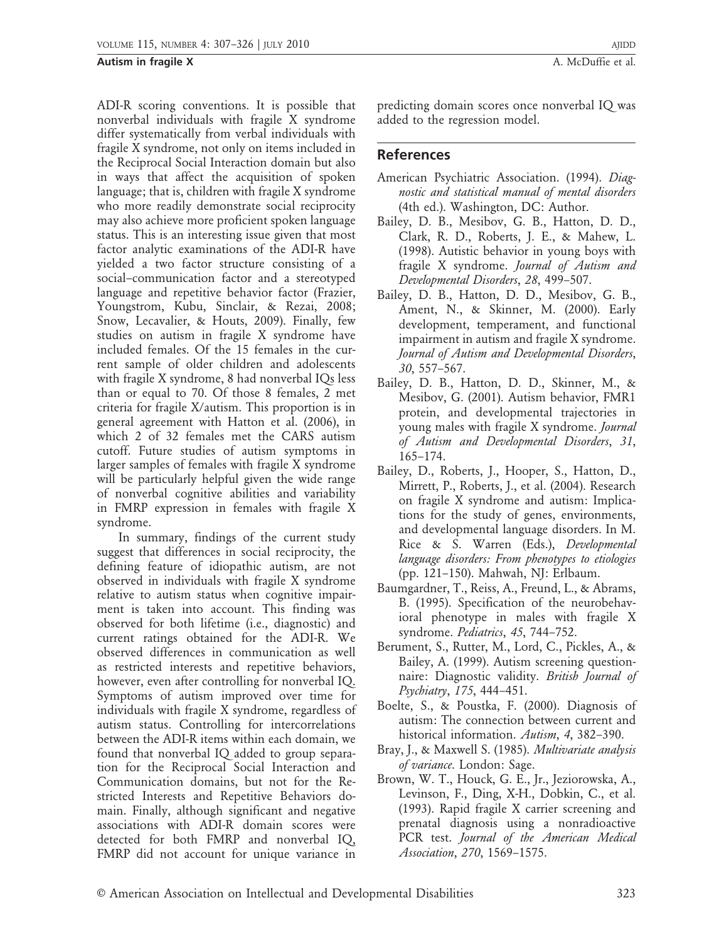ADI-R scoring conventions. It is possible that nonverbal individuals with fragile X syndrome differ systematically from verbal individuals with fragile X syndrome, not only on items included in the Reciprocal Social Interaction domain but also in ways that affect the acquisition of spoken language; that is, children with fragile X syndrome who more readily demonstrate social reciprocity may also achieve more proficient spoken language status. This is an interesting issue given that most factor analytic examinations of the ADI-R have yielded a two factor structure consisting of a social–communication factor and a stereotyped language and repetitive behavior factor (Frazier, Youngstrom, Kubu, Sinclair, & Rezai, 2008; Snow, Lecavalier, & Houts, 2009). Finally, few studies on autism in fragile X syndrome have included females. Of the 15 females in the current sample of older children and adolescents with fragile X syndrome, 8 had nonverbal IQs less than or equal to 70. Of those 8 females, 2 met criteria for fragile X/autism. This proportion is in general agreement with Hatton et al. (2006), in which 2 of 32 females met the CARS autism cutoff. Future studies of autism symptoms in larger samples of females with fragile X syndrome will be particularly helpful given the wide range of nonverbal cognitive abilities and variability in FMRP expression in females with fragile X syndrome.

In summary, findings of the current study suggest that differences in social reciprocity, the defining feature of idiopathic autism, are not observed in individuals with fragile X syndrome relative to autism status when cognitive impairment is taken into account. This finding was observed for both lifetime (i.e., diagnostic) and current ratings obtained for the ADI-R. We observed differences in communication as well as restricted interests and repetitive behaviors, however, even after controlling for nonverbal IQ. Symptoms of autism improved over time for individuals with fragile X syndrome, regardless of autism status. Controlling for intercorrelations between the ADI-R items within each domain, we found that nonverbal IQ added to group separation for the Reciprocal Social Interaction and Communication domains, but not for the Restricted Interests and Repetitive Behaviors domain. Finally, although significant and negative associations with ADI-R domain scores were detected for both FMRP and nonverbal IQ, FMRP did not account for unique variance in

predicting domain scores once nonverbal IQ was added to the regression model.

# References

- American Psychiatric Association. (1994). Diagnostic and statistical manual of mental disorders (4th ed.). Washington, DC: Author.
- Bailey, D. B., Mesibov, G. B., Hatton, D. D., Clark, R. D., Roberts, J. E., & Mahew, L. (1998). Autistic behavior in young boys with fragile X syndrome. Journal of Autism and Developmental Disorders, 28, 499–507.
- Bailey, D. B., Hatton, D. D., Mesibov, G. B., Ament, N., & Skinner, M. (2000). Early development, temperament, and functional impairment in autism and fragile X syndrome. Journal of Autism and Developmental Disorders, 30, 557–567.
- Bailey, D. B., Hatton, D. D., Skinner, M., & Mesibov, G. (2001). Autism behavior, FMR1 protein, and developmental trajectories in young males with fragile X syndrome. Journal of Autism and Developmental Disorders, 31, 165–174.
- Bailey, D., Roberts, J., Hooper, S., Hatton, D., Mirrett, P., Roberts, J., et al. (2004). Research on fragile X syndrome and autism: Implications for the study of genes, environments, and developmental language disorders. In M. Rice & S. Warren (Eds.), Developmental language disorders: From phenotypes to etiologies (pp. 121–150). Mahwah, NJ: Erlbaum.
- Baumgardner, T., Reiss, A., Freund, L., & Abrams, B. (1995). Specification of the neurobehavioral phenotype in males with fragile X syndrome. Pediatrics, 45, 744-752.
- Berument, S., Rutter, M., Lord, C., Pickles, A., & Bailey, A. (1999). Autism screening questionnaire: Diagnostic validity. British Journal of Psychiatry, 175, 444–451.
- Boelte, S., & Poustka, F. (2000). Diagnosis of autism: The connection between current and historical information. Autism, 4, 382-390.
- Bray, J., & Maxwell S. (1985). Multivariate analysis of variance. London: Sage.
- Brown, W. T., Houck, G. E., Jr., Jeziorowska, A., Levinson, F., Ding, X-H., Dobkin, C., et al. (1993). Rapid fragile X carrier screening and prenatal diagnosis using a nonradioactive PCR test. Journal of the American Medical Association, 270, 1569–1575.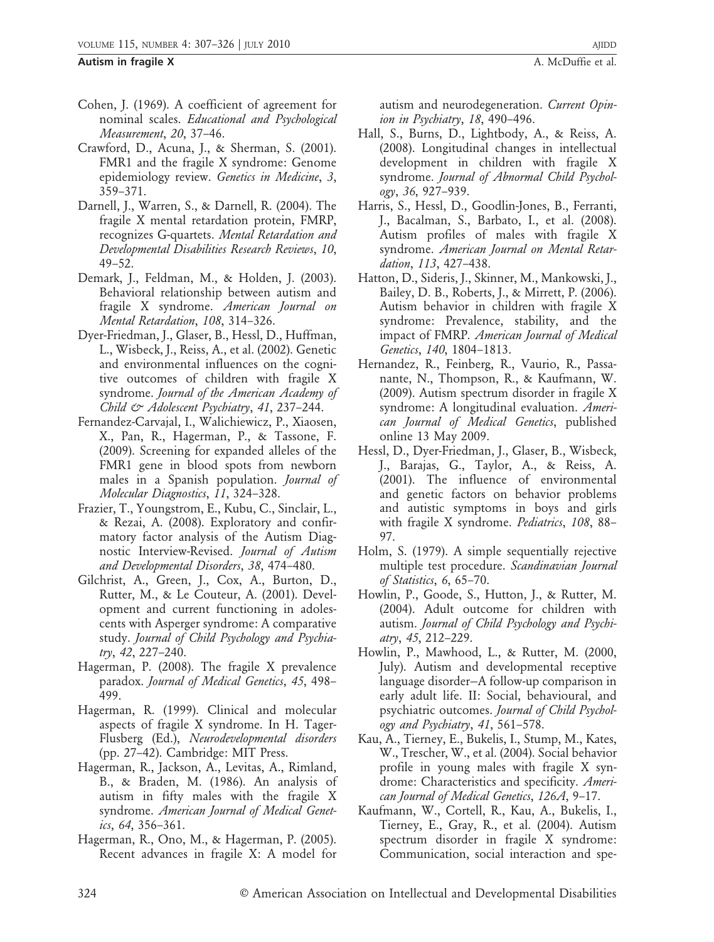- Cohen, J. (1969). A coefficient of agreement for nominal scales. Educational and Psychological Measurement, 20, 37–46.
- Crawford, D., Acuna, J., & Sherman, S. (2001). FMR1 and the fragile X syndrome: Genome epidemiology review. Genetics in Medicine, 3, 359–371.
- Darnell, J., Warren, S., & Darnell, R. (2004). The fragile X mental retardation protein, FMRP, recognizes G-quartets. Mental Retardation and Developmental Disabilities Research Reviews, 10, 49–52.
- Demark, J., Feldman, M., & Holden, J. (2003). Behavioral relationship between autism and fragile X syndrome. American Journal on Mental Retardation, 108, 314–326.
- Dyer-Friedman, J., Glaser, B., Hessl, D., Huffman, L., Wisbeck, J., Reiss, A., et al. (2002). Genetic and environmental influences on the cognitive outcomes of children with fragile X syndrome. Journal of the American Academy of Child & Adolescent Psychiatry, 41, 237-244.
- Fernandez-Carvajal, I., Walichiewicz, P., Xiaosen, X., Pan, R., Hagerman, P., & Tassone, F. (2009). Screening for expanded alleles of the FMR1 gene in blood spots from newborn males in a Spanish population. *Journal of* Molecular Diagnostics, 11, 324–328.
- Frazier, T., Youngstrom, E., Kubu, C., Sinclair, L., & Rezai, A. (2008). Exploratory and confirmatory factor analysis of the Autism Diagnostic Interview-Revised. Journal of Autism and Developmental Disorders, 38, 474–480.
- Gilchrist, A., Green, J., Cox, A., Burton, D., Rutter, M., & Le Couteur, A. (2001). Development and current functioning in adolescents with Asperger syndrome: A comparative study. Journal of Child Psychology and Psychiatry, 42, 227–240.
- Hagerman, P. (2008). The fragile X prevalence paradox. Journal of Medical Genetics, 45, 498– 499.
- Hagerman, R. (1999). Clinical and molecular aspects of fragile X syndrome. In H. Tager-Flusberg (Ed.), Neurodevelopmental disorders (pp. 27–42). Cambridge: MIT Press.
- Hagerman, R., Jackson, A., Levitas, A., Rimland, B., & Braden, M. (1986). An analysis of autism in fifty males with the fragile X syndrome. American Journal of Medical Genetics, 64, 356–361.
- Hagerman, R., Ono, M., & Hagerman, P. (2005). Recent advances in fragile X: A model for

autism and neurodegeneration. Current Opinion in Psychiatry, 18, 490–496.

- Hall, S., Burns, D., Lightbody, A., & Reiss, A. (2008). Longitudinal changes in intellectual development in children with fragile X syndrome. Journal of Abnormal Child Psychology, 36, 927–939.
- Harris, S., Hessl, D., Goodlin-Jones, B., Ferranti, J., Bacalman, S., Barbato, I., et al. (2008). Autism profiles of males with fragile X syndrome. American Journal on Mental Retardation, 113, 427–438.
- Hatton, D., Sideris, J., Skinner, M., Mankowski, J., Bailey, D. B., Roberts, J., & Mirrett, P. (2006). Autism behavior in children with fragile X syndrome: Prevalence, stability, and the impact of FMRP. American Journal of Medical Genetics, 140, 1804–1813.
- Hernandez, R., Feinberg, R., Vaurio, R., Passanante, N., Thompson, R., & Kaufmann, W. (2009). Autism spectrum disorder in fragile X syndrome: A longitudinal evaluation. American Journal of Medical Genetics, published online 13 May 2009.
- Hessl, D., Dyer-Friedman, J., Glaser, B., Wisbeck, J., Barajas, G., Taylor, A., & Reiss, A. (2001). The influence of environmental and genetic factors on behavior problems and autistic symptoms in boys and girls with fragile X syndrome. *Pediatrics*, 108, 88– 97.
- Holm, S. (1979). A simple sequentially rejective multiple test procedure. Scandinavian Journal of Statistics, 6, 65–70.
- Howlin, P., Goode, S., Hutton, J., & Rutter, M. (2004). Adult outcome for children with autism. Journal of Child Psychology and Psychiatry, 45, 212–229.
- Howlin, P., Mawhood, L., & Rutter, M. (2000, July). Autism and developmental receptive language disorder—A follow-up comparison in early adult life. II: Social, behavioural, and psychiatric outcomes. Journal of Child Psychology and Psychiatry, 41, 561–578.
- Kau, A., Tierney, E., Bukelis, I., Stump, M., Kates, W., Trescher, W., et al. (2004). Social behavior profile in young males with fragile X syndrome: Characteristics and specificity. American Journal of Medical Genetics, 126A, 9–17.
- Kaufmann, W., Cortell, R., Kau, A., Bukelis, I., Tierney, E., Gray, R., et al. (2004). Autism spectrum disorder in fragile X syndrome: Communication, social interaction and spe-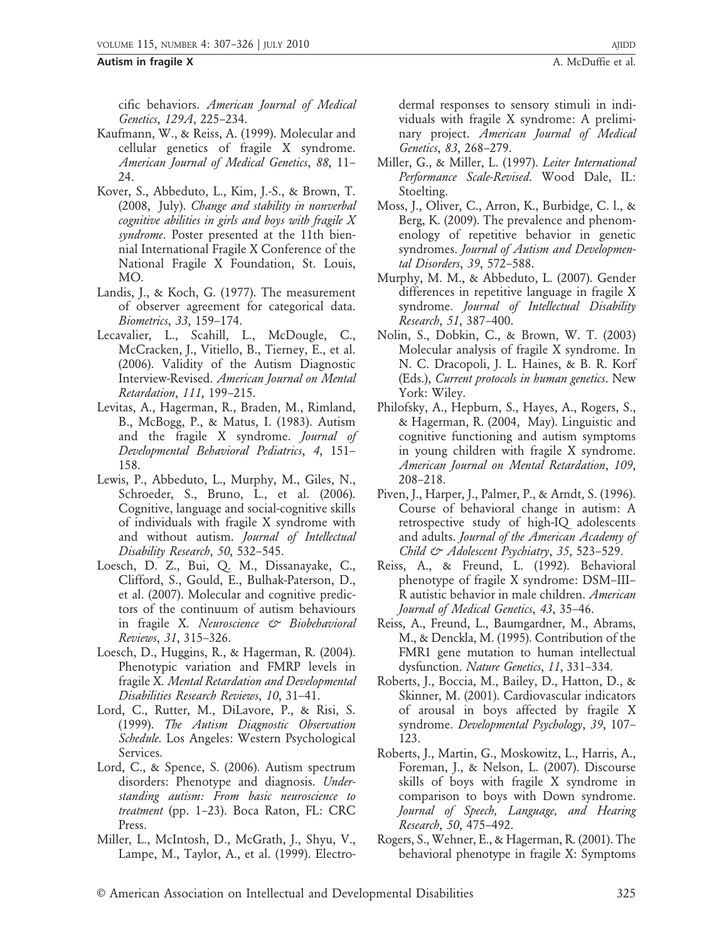Kaufmann, W., & Reiss, A. (1999). Molecular and cellular genetics of fragile X syndrome. American Journal of Medical Genetics, 88, 11–

Kover, S., Abbeduto, L., Kim, J.-S., & Brown, T. (2008, July). Change and stability in nonverbal cognitive abilities in girls and boys with fragile X syndrome. Poster presented at the 11th biennial International Fragile X Conference of the National Fragile X Foundation, St. Louis,

Landis, J., & Koch, G. (1977). The measurement of observer agreement for categorical data.

Lecavalier, L., Scahill, L., McDougle, C., McCracken, J., Vitiello, B., Tierney, E., et al. (2006). Validity of the Autism Diagnostic Interview-Revised. American Journal on Mental

Levitas, A., Hagerman, R., Braden, M., Rimland, B., McBogg, P., & Matus, I. (1983). Autism and the fragile X syndrome. Journal of Developmental Behavioral Pediatrics, 4, 151–

Lewis, P., Abbeduto, L., Murphy, M., Giles, N., Schroeder, S., Bruno, L., et al. (2006). Cognitive, language and social-cognitive skills of individuals with fragile X syndrome with and without autism. Journal of Intellectual

Loesch, D. Z., Bui, Q. M., Dissanayake, C., Clifford, S., Gould, E., Bulhak-Paterson, D., et al. (2007). Molecular and cognitive predictors of the continuum of autism behaviours in fragile X. Neuroscience & Biobehavioral

Loesch, D., Huggins, R., & Hagerman, R. (2004). Phenotypic variation and FMRP levels in fragile X. Mental Retardation and Developmental Disabilities Research Reviews, 10, 31–41. Lord, C., Rutter, M., DiLavore, P., & Risi, S. (1999). The Autism Diagnostic Observation Schedule. Los Angeles: Western Psychological

Lord, C., & Spence, S. (2006). Autism spectrum disorders: Phenotype and diagnosis. Understanding autism: From basic neuroscience to treatment (pp. 1–23). Boca Raton, FL: CRC

Miller, L., McIntosh, D., McGrath, J., Shyu, V.,

Disability Research, 50, 532–545.

Reviews, 31, 315–326.

Services.

Press.

Genetics, 129A, 225–234.

Biometrics, 33, 159–174.

Retardation, 111, 199–215.

Autism in fragile X and A. McDuffie et al.

24.

MO.

158.

dermal responses to sensory stimuli in individuals with fragile X syndrome: A preliminary project. American Journal of Medical Genetics, 83, 268–279.

- Miller, G., & Miller, L. (1997). Leiter International Performance Scale-Revised. Wood Dale, IL: Stoelting.
- Moss, J., Oliver, C., Arron, K., Burbidge, C. l., & Berg, K. (2009). The prevalence and phenomenology of repetitive behavior in genetic syndromes. Journal of Autism and Developmental Disorders, 39, 572–588.
- Murphy, M. M., & Abbeduto, L. (2007). Gender differences in repetitive language in fragile X syndrome. Journal of Intellectual Disability Research, 51, 387–400.
- Nolin, S., Dobkin, C., & Brown, W. T. (2003) Molecular analysis of fragile X syndrome. In N. C. Dracopoli, J. L. Haines, & B. R. Korf (Eds.), Current protocols in human genetics. New York: Wiley.
- Philofsky, A., Hepburn, S., Hayes, A., Rogers, S., & Hagerman, R. (2004, May). Linguistic and cognitive functioning and autism symptoms in young children with fragile X syndrome. American Journal on Mental Retardation, 109, 208–218.
- Piven, J., Harper, J., Palmer, P., & Arndt, S. (1996). Course of behavioral change in autism: A retrospective study of high-IQ adolescents and adults. Journal of the American Academy of Child  $\mathfrak{S}$  Adolescent Psychiatry, 35, 523–529.
- Reiss, A., & Freund, L. (1992). Behavioral phenotype of fragile X syndrome: DSM–III– R autistic behavior in male children. American Journal of Medical Genetics, 43, 35–46.
- Reiss, A., Freund, L., Baumgardner, M., Abrams, M., & Denckla, M. (1995). Contribution of the FMR1 gene mutation to human intellectual dysfunction. Nature Genetics, 11, 331–334.
- Roberts, J., Boccia, M., Bailey, D., Hatton, D., & Skinner, M. (2001). Cardiovascular indicators of arousal in boys affected by fragile X syndrome. Developmental Psychology, 39, 107– 123.
- Roberts, J., Martin, G., Moskowitz, L., Harris, A., Foreman, J., & Nelson, L. (2007). Discourse skills of boys with fragile X syndrome in comparison to boys with Down syndrome. Journal of Speech, Language, and Hearing Research, 50, 475–492.
- Rogers, S., Wehner, E., & Hagerman, R. (2001). The behavioral phenotype in fragile X: Symptoms
- Lampe, M., Taylor, A., et al. (1999). Electro-